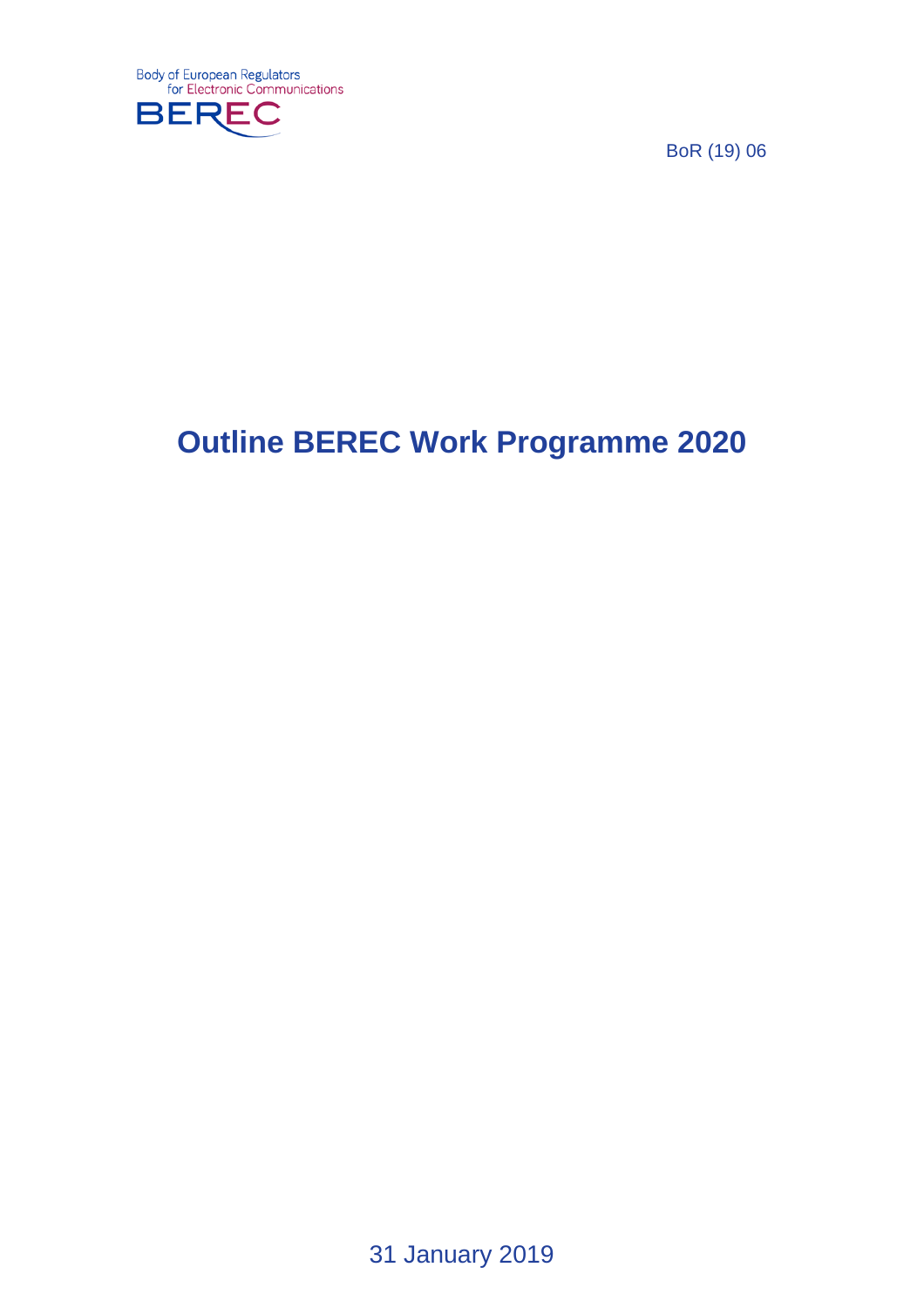

BoR (19) 06

# **Outline BEREC Work Programme 2020**

31 January 2019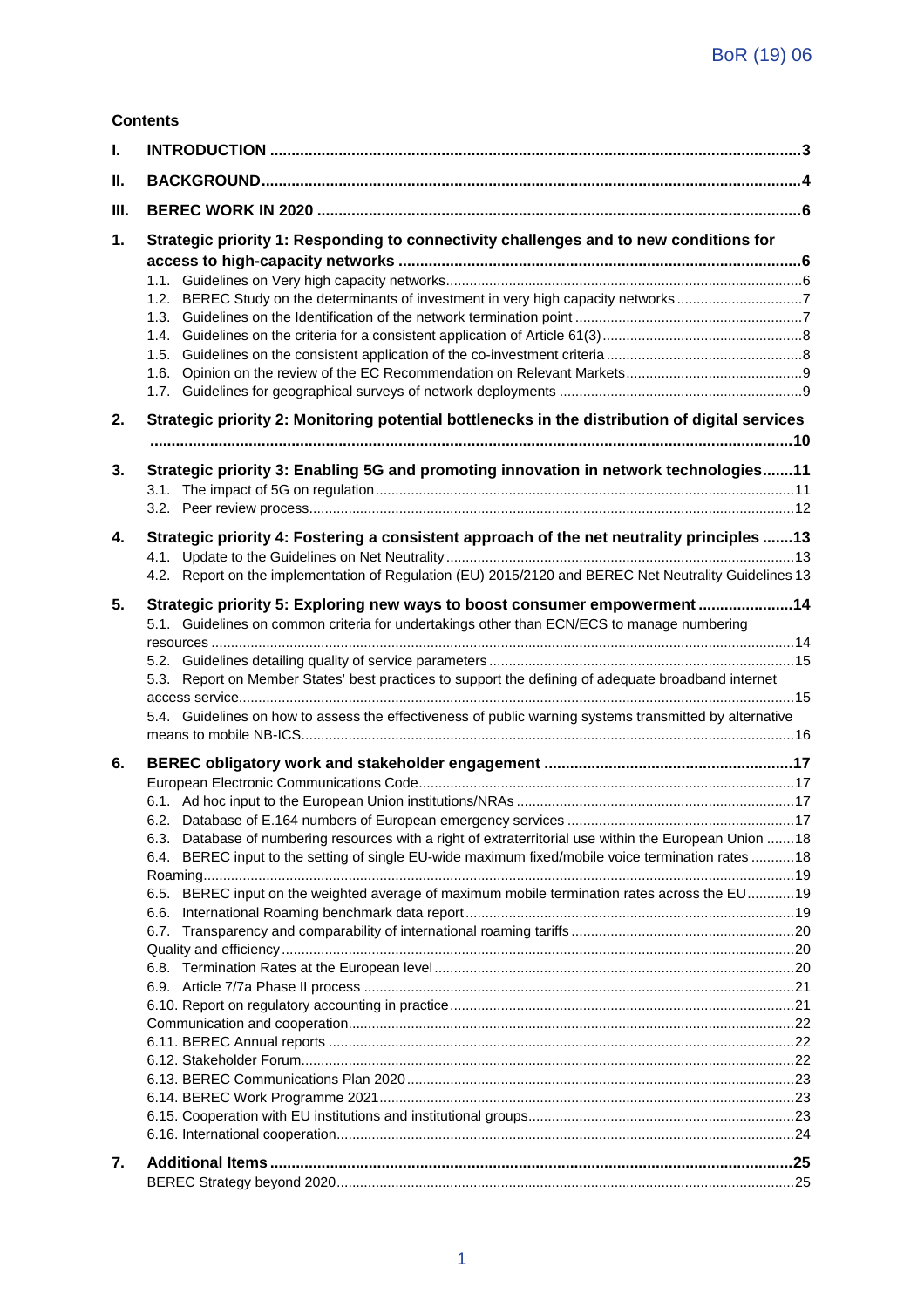#### **Contents**

| ı. |                                                                                                         |  |
|----|---------------------------------------------------------------------------------------------------------|--|
| Ш. |                                                                                                         |  |
| Ш. |                                                                                                         |  |
| 1. | Strategic priority 1: Responding to connectivity challenges and to new conditions for                   |  |
|    |                                                                                                         |  |
|    |                                                                                                         |  |
|    |                                                                                                         |  |
|    |                                                                                                         |  |
|    |                                                                                                         |  |
|    |                                                                                                         |  |
|    |                                                                                                         |  |
| 2. | Strategic priority 2: Monitoring potential bottlenecks in the distribution of digital services          |  |
|    |                                                                                                         |  |
| 3. | Strategic priority 3: Enabling 5G and promoting innovation in network technologies 11                   |  |
|    |                                                                                                         |  |
| 4. | Strategic priority 4: Fostering a consistent approach of the net neutrality principles 13               |  |
|    | 4.2. Report on the implementation of Regulation (EU) 2015/2120 and BEREC Net Neutrality Guidelines 13   |  |
| 5. | Strategic priority 5: Exploring new ways to boost consumer empowerment 14                               |  |
|    | 5.1. Guidelines on common criteria for undertakings other than ECN/ECS to manage numbering              |  |
|    |                                                                                                         |  |
|    | 5.3. Report on Member States' best practices to support the defining of adequate broadband internet     |  |
|    | 5.4. Guidelines on how to assess the effectiveness of public warning systems transmitted by alternative |  |
| 6. |                                                                                                         |  |
|    |                                                                                                         |  |
|    |                                                                                                         |  |
|    |                                                                                                         |  |
|    | 6.3. Database of numbering resources with a right of extraterritorial use within the European Union  18 |  |
|    | 6.4. BEREC input to the setting of single EU-wide maximum fixed/mobile voice termination rates 18       |  |
|    |                                                                                                         |  |
|    | BEREC input on the weighted average of maximum mobile termination rates across the EU19<br>6.5.         |  |
|    | 6.6.                                                                                                    |  |
|    | 6.7.                                                                                                    |  |
|    |                                                                                                         |  |
|    |                                                                                                         |  |
|    |                                                                                                         |  |
|    |                                                                                                         |  |
|    |                                                                                                         |  |
|    |                                                                                                         |  |
|    |                                                                                                         |  |
|    |                                                                                                         |  |
|    |                                                                                                         |  |
|    |                                                                                                         |  |
| 7. |                                                                                                         |  |
|    |                                                                                                         |  |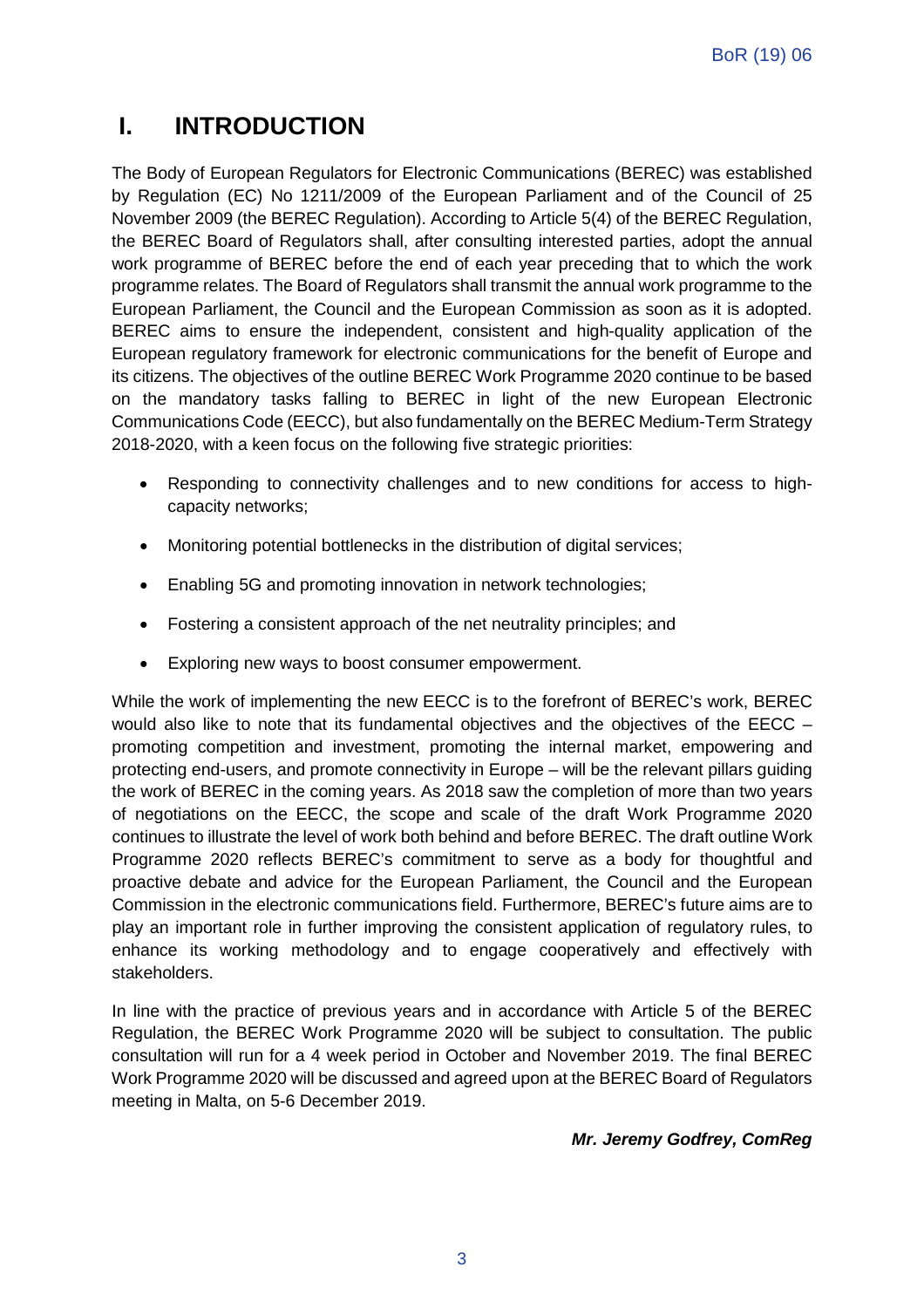### **I. INTRODUCTION**

The Body of European Regulators for Electronic Communications (BEREC) was established by Regulation (EC) No 1211/2009 of the European Parliament and of the Council of 25 November 2009 (the BEREC Regulation). According to Article 5(4) of the BEREC Regulation, the BEREC Board of Regulators shall, after consulting interested parties, adopt the annual work programme of BEREC before the end of each year preceding that to which the work programme relates. The Board of Regulators shall transmit the annual work programme to the European Parliament, the Council and the European Commission as soon as it is adopted. BEREC aims to ensure the independent, consistent and high-quality application of the European regulatory framework for electronic communications for the benefit of Europe and its citizens. The objectives of the outline BEREC Work Programme 2020 continue to be based on the mandatory tasks falling to BEREC in light of the new European Electronic Communications Code (EECC), but also fundamentally on the BEREC Medium-Term Strategy 2018-2020, with a keen focus on the following five strategic priorities:

- Responding to connectivity challenges and to new conditions for access to highcapacity networks;
- Monitoring potential bottlenecks in the distribution of digital services;
- Enabling 5G and promoting innovation in network technologies;
- Fostering a consistent approach of the net neutrality principles; and
- Exploring new ways to boost consumer empowerment.

While the work of implementing the new EECC is to the forefront of BEREC's work, BEREC would also like to note that its fundamental objectives and the objectives of the EECC – promoting competition and investment, promoting the internal market, empowering and protecting end-users, and promote connectivity in Europe – will be the relevant pillars guiding the work of BEREC in the coming years. As 2018 saw the completion of more than two years of negotiations on the EECC, the scope and scale of the draft Work Programme 2020 continues to illustrate the level of work both behind and before BEREC. The draft outline Work Programme 2020 reflects BEREC's commitment to serve as a body for thoughtful and proactive debate and advice for the European Parliament, the Council and the European Commission in the electronic communications field. Furthermore, BEREC's future aims are to play an important role in further improving the consistent application of regulatory rules, to enhance its working methodology and to engage cooperatively and effectively with stakeholders.

In line with the practice of previous years and in accordance with Article 5 of the BEREC Regulation, the BEREC Work Programme 2020 will be subject to consultation. The public consultation will run for a 4 week period in October and November 2019. The final BEREC Work Programme 2020 will be discussed and agreed upon at the BEREC Board of Regulators meeting in Malta, on 5-6 December 2019.

*Mr. Jeremy Godfrey, ComReg*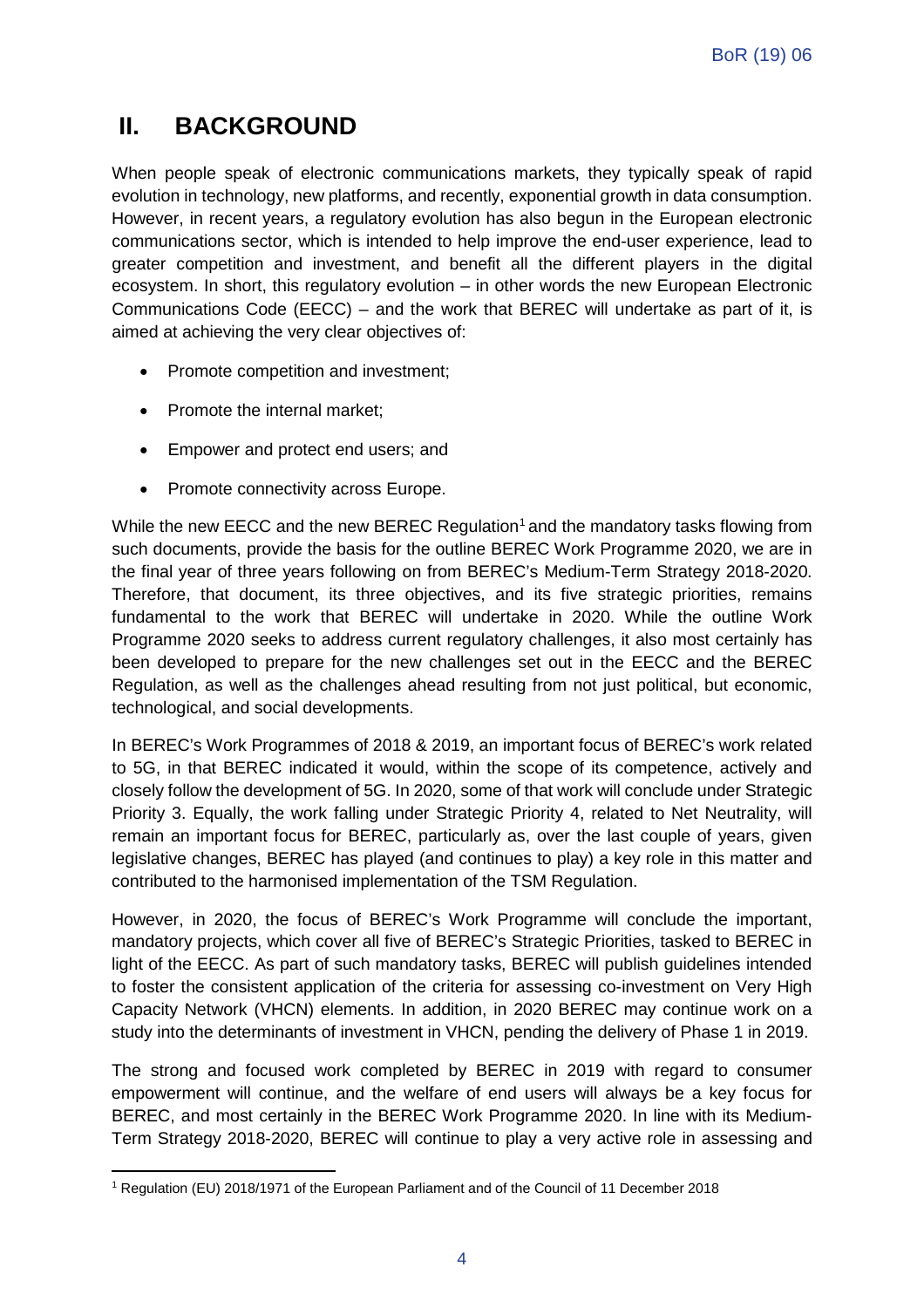### **II. BACKGROUND**

When people speak of electronic communications markets, they typically speak of rapid evolution in technology, new platforms, and recently, exponential growth in data consumption. However, in recent years, a regulatory evolution has also begun in the European electronic communications sector, which is intended to help improve the end-user experience, lead to greater competition and investment, and benefit all the different players in the digital ecosystem. In short, this regulatory evolution – in other words the new European Electronic Communications Code (EECC) – and the work that BEREC will undertake as part of it, is aimed at achieving the very clear objectives of:

- Promote competition and investment;
- Promote the internal market;
- Empower and protect end users; and
- Promote connectivity across Europe.

While the new EECC and the new BEREC Regulation<sup>[1](#page-4-0)</sup> and the mandatory tasks flowing from such documents, provide the basis for the outline BEREC Work Programme 2020, we are in the final year of three years following on from BEREC's Medium-Term Strategy 2018-2020. Therefore, that document, its three objectives, and its five strategic priorities, remains fundamental to the work that BEREC will undertake in 2020. While the outline Work Programme 2020 seeks to address current regulatory challenges, it also most certainly has been developed to prepare for the new challenges set out in the EECC and the BEREC Regulation, as well as the challenges ahead resulting from not just political, but economic, technological, and social developments.

In BEREC's Work Programmes of 2018 & 2019, an important focus of BEREC's work related to 5G, in that BEREC indicated it would, within the scope of its competence, actively and closely follow the development of 5G. In 2020, some of that work will conclude under Strategic Priority 3. Equally, the work falling under Strategic Priority 4, related to Net Neutrality, will remain an important focus for BEREC, particularly as, over the last couple of years, given legislative changes, BEREC has played (and continues to play) a key role in this matter and contributed to the harmonised implementation of the TSM Regulation.

However, in 2020, the focus of BEREC's Work Programme will conclude the important, mandatory projects, which cover all five of BEREC's Strategic Priorities, tasked to BEREC in light of the EECC. As part of such mandatory tasks, BEREC will publish guidelines intended to foster the consistent application of the criteria for assessing co-investment on Very High Capacity Network (VHCN) elements. In addition, in 2020 BEREC may continue work on a study into the determinants of investment in VHCN, pending the delivery of Phase 1 in 2019.

The strong and focused work completed by BEREC in 2019 with regard to consumer empowerment will continue, and the welfare of end users will always be a key focus for BEREC, and most certainly in the BEREC Work Programme 2020. In line with its Medium-Term Strategy 2018-2020, BEREC will continue to play a very active role in assessing and

<span id="page-4-0"></span> $\overline{a}$ <sup>1</sup> Regulation (EU) 2018/1971 of the European Parliament and of the Council of 11 December 2018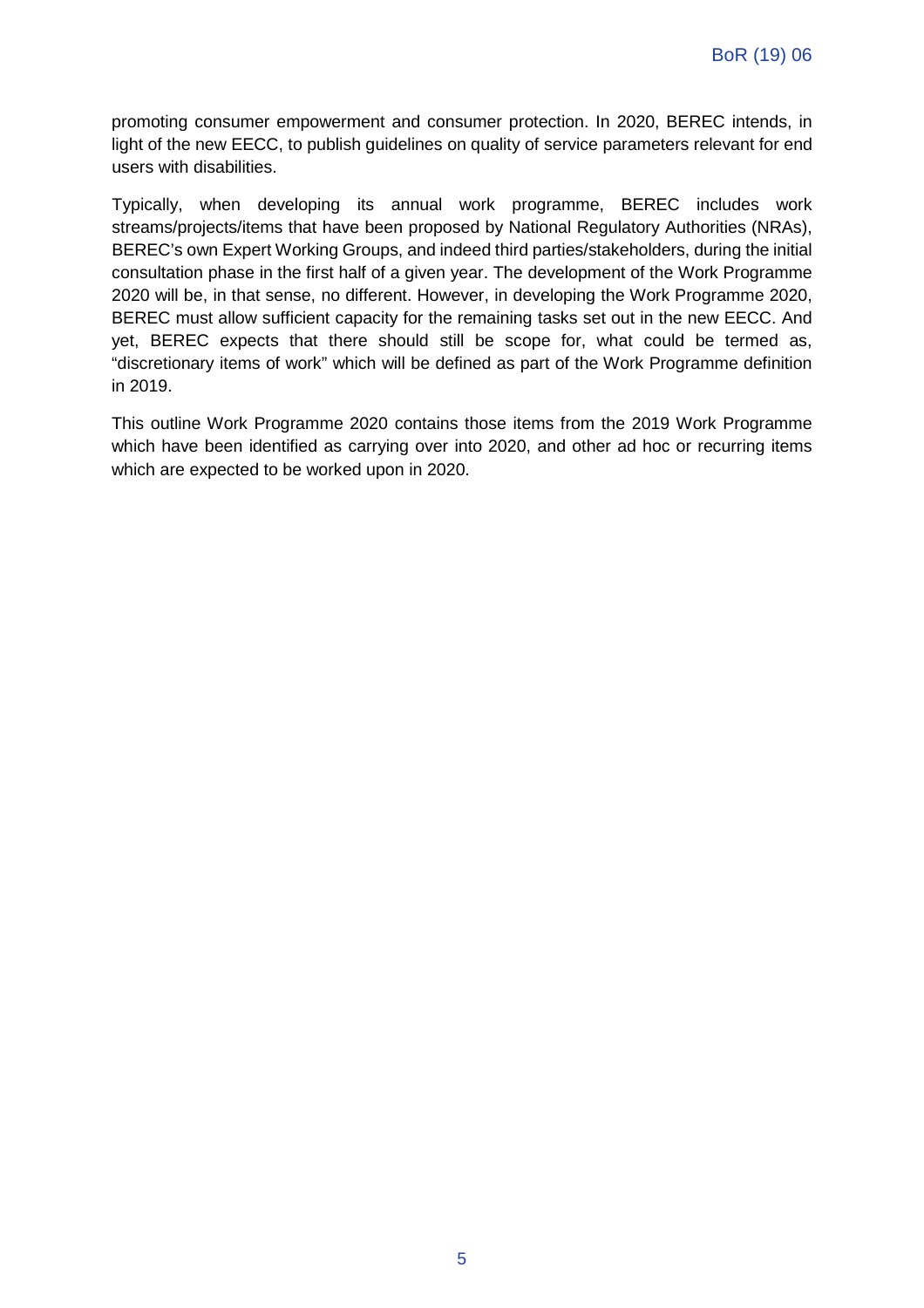promoting consumer empowerment and consumer protection. In 2020, BEREC intends, in light of the new EECC, to publish guidelines on quality of service parameters relevant for end users with disabilities.

Typically, when developing its annual work programme, BEREC includes work streams/projects/items that have been proposed by National Regulatory Authorities (NRAs), BEREC's own Expert Working Groups, and indeed third parties/stakeholders, during the initial consultation phase in the first half of a given year. The development of the Work Programme 2020 will be, in that sense, no different. However, in developing the Work Programme 2020, BEREC must allow sufficient capacity for the remaining tasks set out in the new EECC. And yet, BEREC expects that there should still be scope for, what could be termed as, "discretionary items of work" which will be defined as part of the Work Programme definition in 2019.

This outline Work Programme 2020 contains those items from the 2019 Work Programme which have been identified as carrying over into 2020, and other ad hoc or recurring items which are expected to be worked upon in 2020.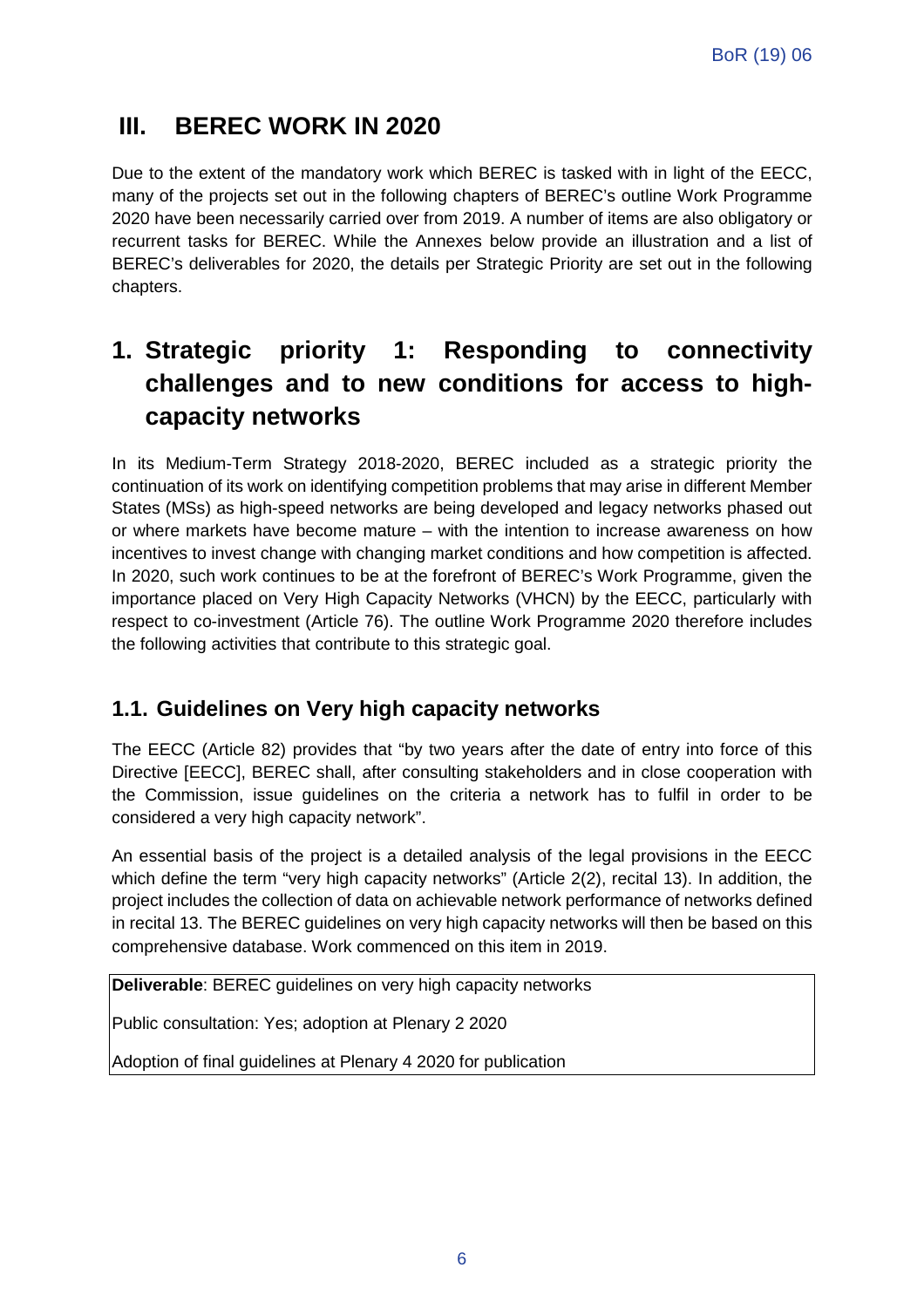### **III. BEREC WORK IN 2020**

Due to the extent of the mandatory work which BEREC is tasked with in light of the EECC, many of the projects set out in the following chapters of BEREC's outline Work Programme 2020 have been necessarily carried over from 2019. A number of items are also obligatory or recurrent tasks for BEREC. While the Annexes below provide an illustration and a list of BEREC's deliverables for 2020, the details per Strategic Priority are set out in the following chapters.

### **1. Strategic priority 1: Responding to connectivity challenges and to new conditions for access to highcapacity networks**

In its Medium-Term Strategy 2018-2020, BEREC included as a strategic priority the continuation of its work on identifying competition problems that may arise in different Member States (MSs) as high-speed networks are being developed and legacy networks phased out or where markets have become mature – with the intention to increase awareness on how incentives to invest change with changing market conditions and how competition is affected. In 2020, such work continues to be at the forefront of BEREC's Work Programme, given the importance placed on Very High Capacity Networks (VHCN) by the EECC, particularly with respect to co-investment (Article 76). The outline Work Programme 2020 therefore includes the following activities that contribute to this strategic goal.

#### **1.1. Guidelines on Very high capacity networks**

The EECC (Article 82) provides that "by two years after the date of entry into force of this Directive [EECC], BEREC shall, after consulting stakeholders and in close cooperation with the Commission, issue guidelines on the criteria a network has to fulfil in order to be considered a very high capacity network".

An essential basis of the project is a detailed analysis of the legal provisions in the EECC which define the term "very high capacity networks" (Article 2(2), recital 13). In addition, the project includes the collection of data on achievable network performance of networks defined in recital 13. The BEREC guidelines on very high capacity networks will then be based on this comprehensive database. Work commenced on this item in 2019.

**Deliverable**: BEREC guidelines on very high capacity networks

Public consultation: Yes; adoption at Plenary 2 2020

Adoption of final guidelines at Plenary 4 2020 for publication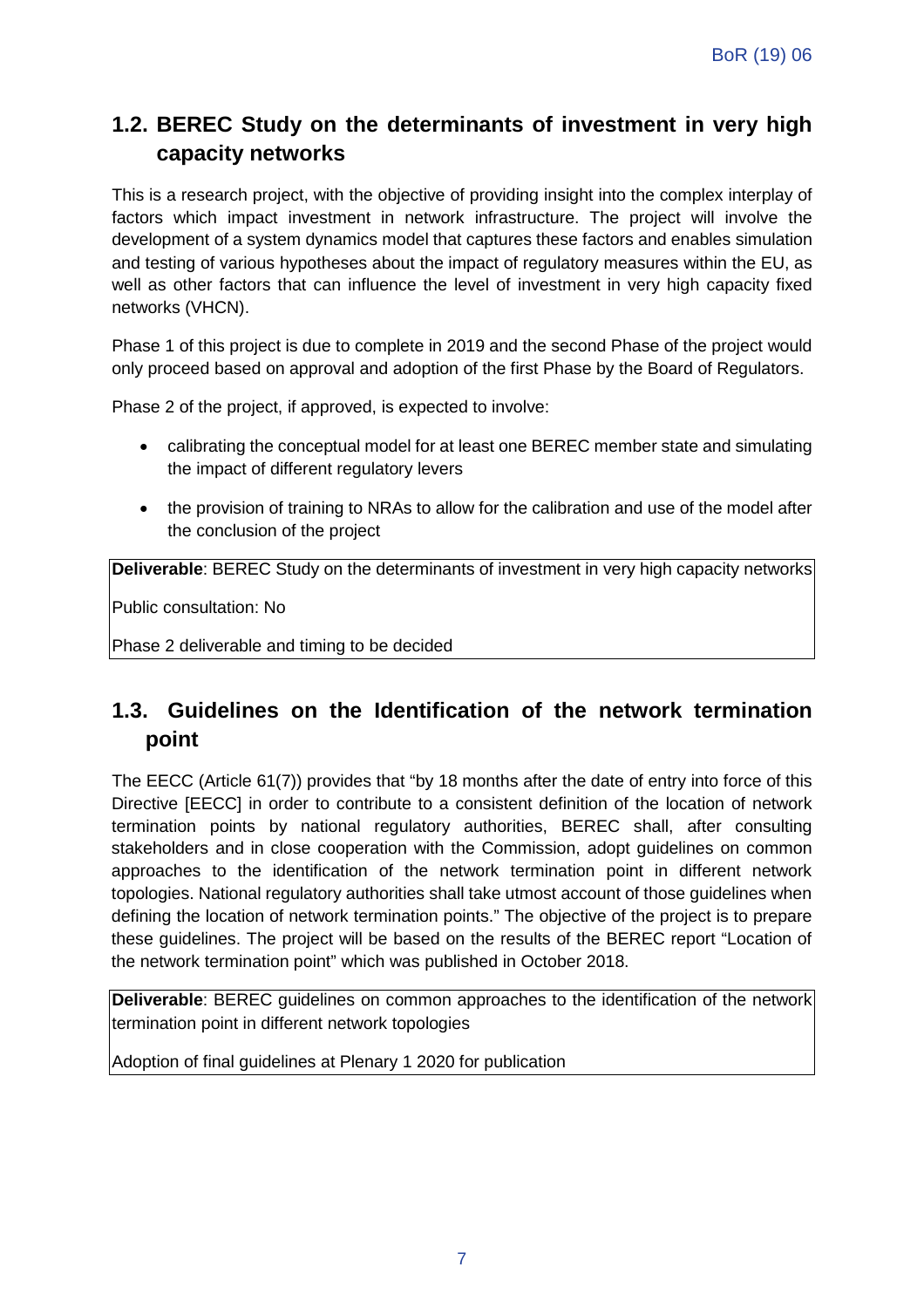#### **1.2. BEREC Study on the determinants of investment in very high capacity networks**

This is a research project, with the objective of providing insight into the complex interplay of factors which impact investment in network infrastructure. The project will involve the development of a system dynamics model that captures these factors and enables simulation and testing of various hypotheses about the impact of regulatory measures within the EU, as well as other factors that can influence the level of investment in very high capacity fixed networks (VHCN).

Phase 1 of this project is due to complete in 2019 and the second Phase of the project would only proceed based on approval and adoption of the first Phase by the Board of Regulators.

Phase 2 of the project, if approved, is expected to involve:

- calibrating the conceptual model for at least one BEREC member state and simulating the impact of different regulatory levers
- the provision of training to NRAs to allow for the calibration and use of the model after the conclusion of the project

**Deliverable**: BEREC Study on the determinants of investment in very high capacity networks

Public consultation: No

Phase 2 deliverable and timing to be decided

#### **1.3. Guidelines on the Identification of the network termination point**

The EECC (Article 61(7)) provides that "by 18 months after the date of entry into force of this Directive [EECC] in order to contribute to a consistent definition of the location of network termination points by national regulatory authorities, BEREC shall, after consulting stakeholders and in close cooperation with the Commission, adopt guidelines on common approaches to the identification of the network termination point in different network topologies. National regulatory authorities shall take utmost account of those guidelines when defining the location of network termination points." The objective of the project is to prepare these guidelines. The project will be based on the results of the BEREC report "Location of the network termination point" which was published in October 2018.

**Deliverable**: BEREC guidelines on common approaches to the identification of the network termination point in different network topologies

Adoption of final guidelines at Plenary 1 2020 for publication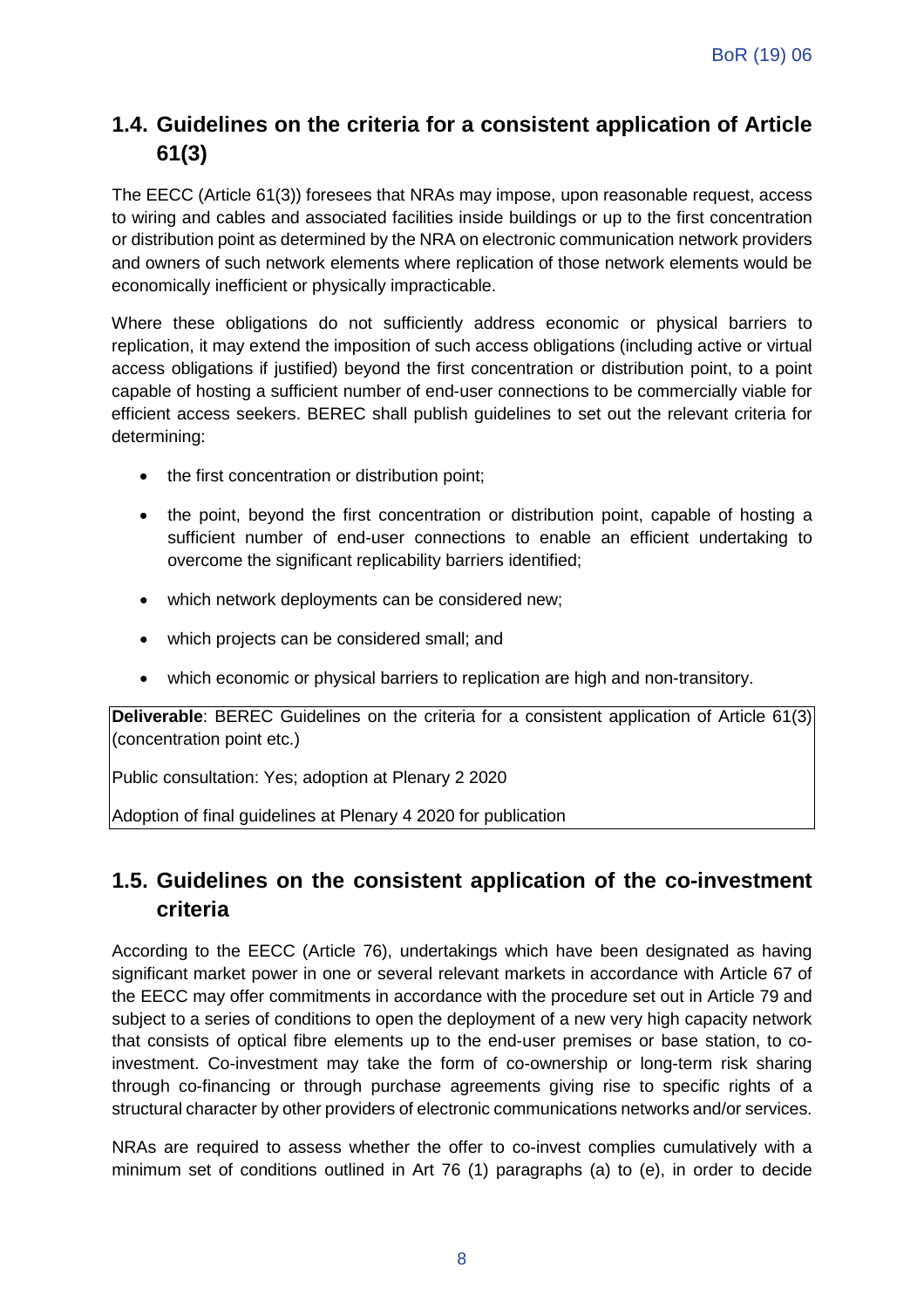### **1.4. Guidelines on the criteria for a consistent application of Article 61(3)**

The EECC (Article 61(3)) foresees that NRAs may impose, upon reasonable request, access to wiring and cables and associated facilities inside buildings or up to the first concentration or distribution point as determined by the NRA on electronic communication network providers and owners of such network elements where replication of those network elements would be economically inefficient or physically impracticable.

Where these obligations do not sufficiently address economic or physical barriers to replication, it may extend the imposition of such access obligations (including active or virtual access obligations if justified) beyond the first concentration or distribution point, to a point capable of hosting a sufficient number of end-user connections to be commercially viable for efficient access seekers. BEREC shall publish guidelines to set out the relevant criteria for determining:

- the first concentration or distribution point;
- the point, beyond the first concentration or distribution point, capable of hosting a sufficient number of end-user connections to enable an efficient undertaking to overcome the significant replicability barriers identified;
- which network deployments can be considered new;
- which projects can be considered small; and
- which economic or physical barriers to replication are high and non-transitory.

**Deliverable**: BEREC Guidelines on the criteria for a consistent application of Article 61(3) (concentration point etc.)

Public consultation: Yes; adoption at Plenary 2 2020

Adoption of final guidelines at Plenary 4 2020 for publication

#### **1.5. Guidelines on the consistent application of the co-investment criteria**

According to the EECC (Article 76), undertakings which have been designated as having significant market power in one or several relevant markets in accordance with Article 67 of the EECC may offer commitments in accordance with the procedure set out in Article 79 and subject to a series of conditions to open the deployment of a new very high capacity network that consists of optical fibre elements up to the end-user premises or base station, to coinvestment. Co-investment may take the form of co-ownership or long-term risk sharing through co-financing or through purchase agreements giving rise to specific rights of a structural character by other providers of electronic communications networks and/or services.

NRAs are required to assess whether the offer to co-invest complies cumulatively with a minimum set of conditions outlined in Art 76 (1) paragraphs (a) to (e), in order to decide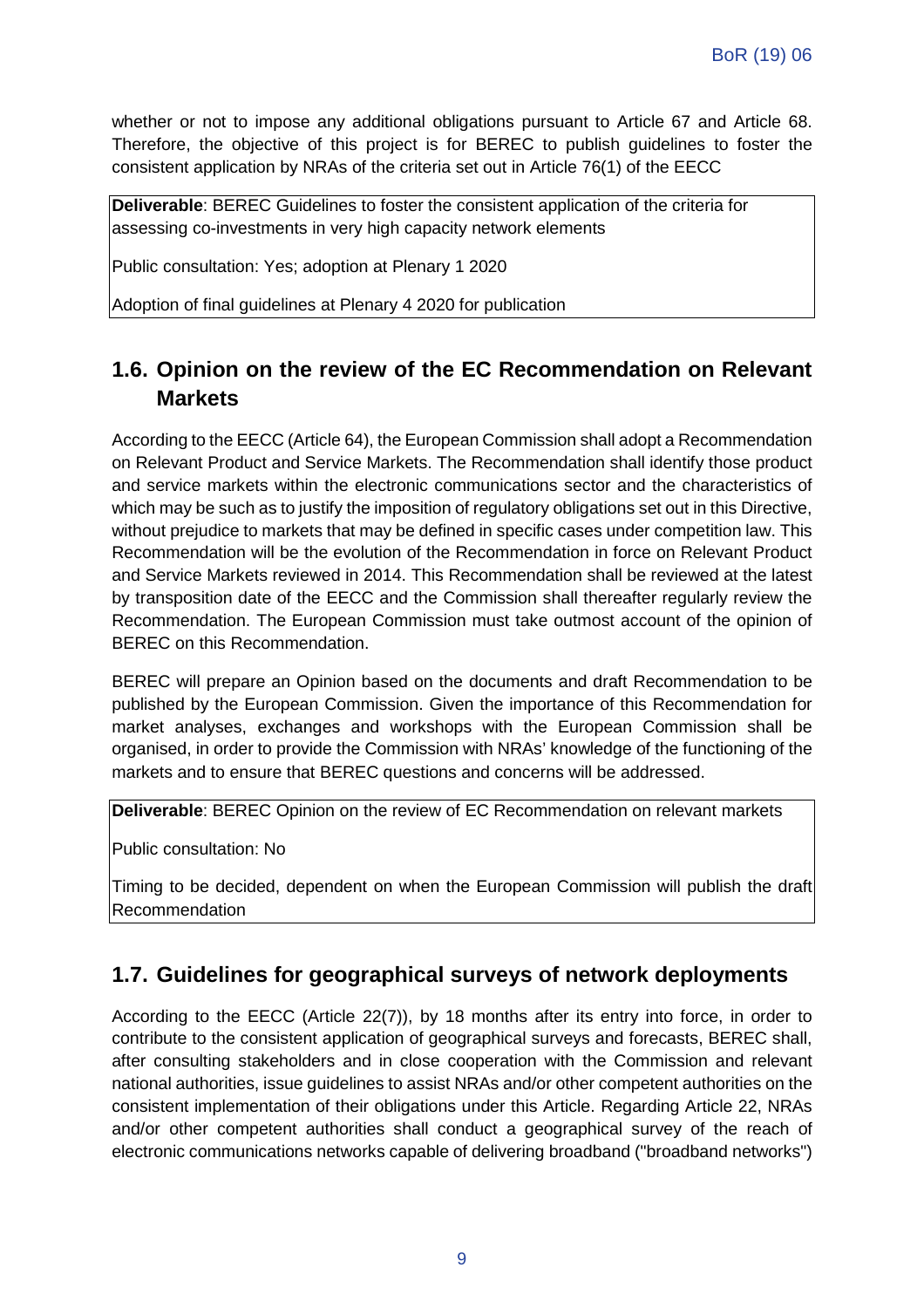whether or not to impose any additional obligations pursuant to Article 67 and Article 68. Therefore, the objective of this project is for BEREC to publish guidelines to foster the consistent application by NRAs of the criteria set out in Article 76(1) of the EECC

**Deliverable**: BEREC Guidelines to foster the consistent application of the criteria for assessing co-investments in very high capacity network elements

Public consultation: Yes; adoption at Plenary 1 2020

Adoption of final guidelines at Plenary 4 2020 for publication

#### **1.6. Opinion on the review of the EC Recommendation on Relevant Markets**

According to the EECC (Article 64), the European Commission shall adopt a Recommendation on Relevant Product and Service Markets. The Recommendation shall identify those product and service markets within the electronic communications sector and the characteristics of which may be such as to justify the imposition of regulatory obligations set out in this Directive, without prejudice to markets that may be defined in specific cases under competition law. This Recommendation will be the evolution of the Recommendation in force on Relevant Product and Service Markets reviewed in 2014. This Recommendation shall be reviewed at the latest by transposition date of the EECC and the Commission shall thereafter regularly review the Recommendation. The European Commission must take outmost account of the opinion of BEREC on this Recommendation.

BEREC will prepare an Opinion based on the documents and draft Recommendation to be published by the European Commission. Given the importance of this Recommendation for market analyses, exchanges and workshops with the European Commission shall be organised, in order to provide the Commission with NRAs' knowledge of the functioning of the markets and to ensure that BEREC questions and concerns will be addressed.

**Deliverable**: BEREC Opinion on the review of EC Recommendation on relevant markets

Public consultation: No

Timing to be decided, dependent on when the European Commission will publish the draft Recommendation

#### **1.7. Guidelines for geographical surveys of network deployments**

According to the EECC (Article 22(7)), by 18 months after its entry into force, in order to contribute to the consistent application of geographical surveys and forecasts, BEREC shall, after consulting stakeholders and in close cooperation with the Commission and relevant national authorities, issue guidelines to assist NRAs and/or other competent authorities on the consistent implementation of their obligations under this Article. Regarding Article 22, NRAs and/or other competent authorities shall conduct a geographical survey of the reach of electronic communications networks capable of delivering broadband ("broadband networks")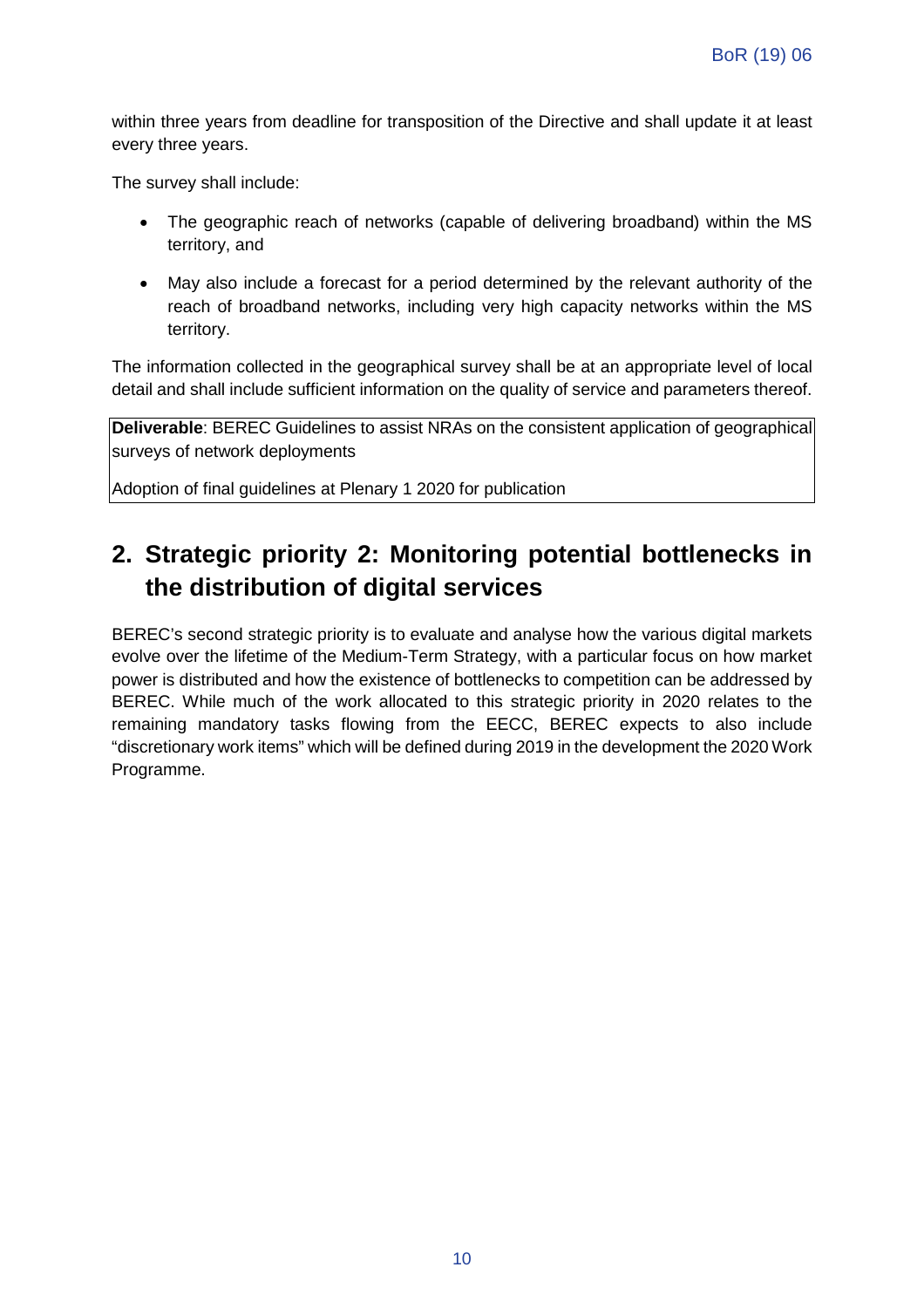within three years from deadline for transposition of the Directive and shall update it at least every three years.

The survey shall include:

- The geographic reach of networks (capable of delivering broadband) within the MS territory, and
- May also include a forecast for a period determined by the relevant authority of the reach of broadband networks, including very high capacity networks within the MS territory.

The information collected in the geographical survey shall be at an appropriate level of local detail and shall include sufficient information on the quality of service and parameters thereof.

**Deliverable**: BEREC Guidelines to assist NRAs on the consistent application of geographical surveys of network deployments

Adoption of final guidelines at Plenary 1 2020 for publication

### **2. Strategic priority 2: Monitoring potential bottlenecks in the distribution of digital services**

BEREC's second strategic priority is to evaluate and analyse how the various digital markets evolve over the lifetime of the Medium-Term Strategy, with a particular focus on how market power is distributed and how the existence of bottlenecks to competition can be addressed by BEREC. While much of the work allocated to this strategic priority in 2020 relates to the remaining mandatory tasks flowing from the EECC, BEREC expects to also include "discretionary work items" which will be defined during 2019 in the development the 2020 Work Programme.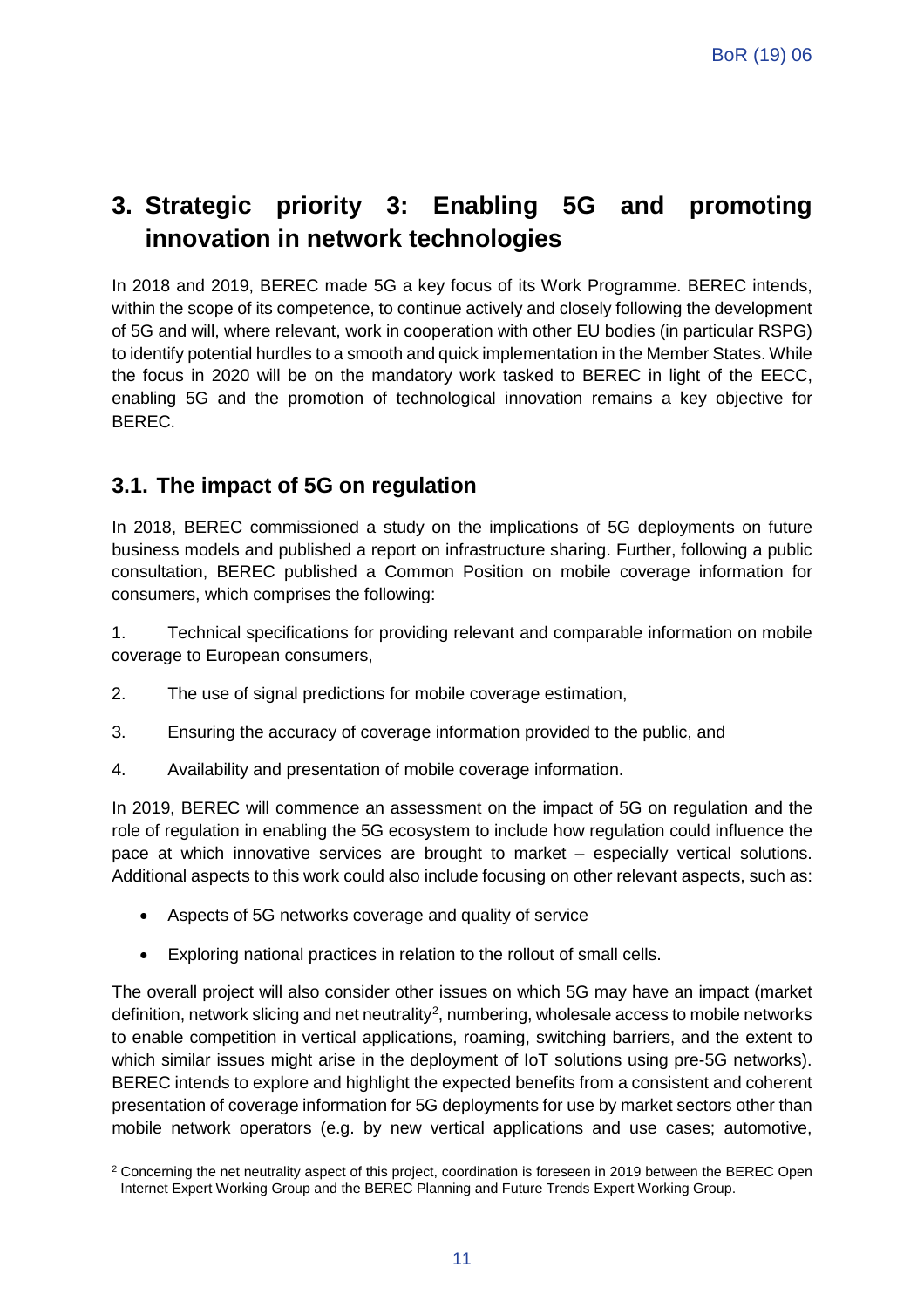### **3. Strategic priority 3: Enabling 5G and promoting innovation in network technologies**

In 2018 and 2019, BEREC made 5G a key focus of its Work Programme. BEREC intends, within the scope of its competence, to continue actively and closely following the development of 5G and will, where relevant, work in cooperation with other EU bodies (in particular RSPG) to identify potential hurdles to a smooth and quick implementation in the Member States. While the focus in 2020 will be on the mandatory work tasked to BEREC in light of the EECC, enabling 5G and the promotion of technological innovation remains a key objective for BEREC.

#### **3.1. The impact of 5G on regulation**

In 2018, BEREC commissioned a study on the implications of 5G deployments on future business models and published a report on infrastructure sharing. Further, following a public consultation, BEREC published a Common Position on mobile coverage information for consumers, which comprises the following:

1. Technical specifications for providing relevant and comparable information on mobile coverage to European consumers,

- 2. The use of signal predictions for mobile coverage estimation,
- 3. Ensuring the accuracy of coverage information provided to the public, and
- 4. Availability and presentation of mobile coverage information.

In 2019, BEREC will commence an assessment on the impact of 5G on regulation and the role of regulation in enabling the 5G ecosystem to include how regulation could influence the pace at which innovative services are brought to market – especially vertical solutions. Additional aspects to this work could also include focusing on other relevant aspects, such as:

- Aspects of 5G networks coverage and quality of service
- Exploring national practices in relation to the rollout of small cells.

The overall project will also consider other issues on which 5G may have an impact (market definition, network slicing and net neutrality<sup>[2](#page-11-0)</sup>, numbering, wholesale access to mobile networks to enable competition in vertical applications, roaming, switching barriers, and the extent to which similar issues might arise in the deployment of IoT solutions using pre-5G networks). BEREC intends to explore and highlight the expected benefits from a consistent and coherent presentation of coverage information for 5G deployments for use by market sectors other than mobile network operators (e.g. by new vertical applications and use cases; automotive,

<span id="page-11-0"></span> $\overline{a}$ <sup>2</sup> Concerning the net neutrality aspect of this project, coordination is foreseen in 2019 between the BEREC Open Internet Expert Working Group and the BEREC Planning and Future Trends Expert Working Group.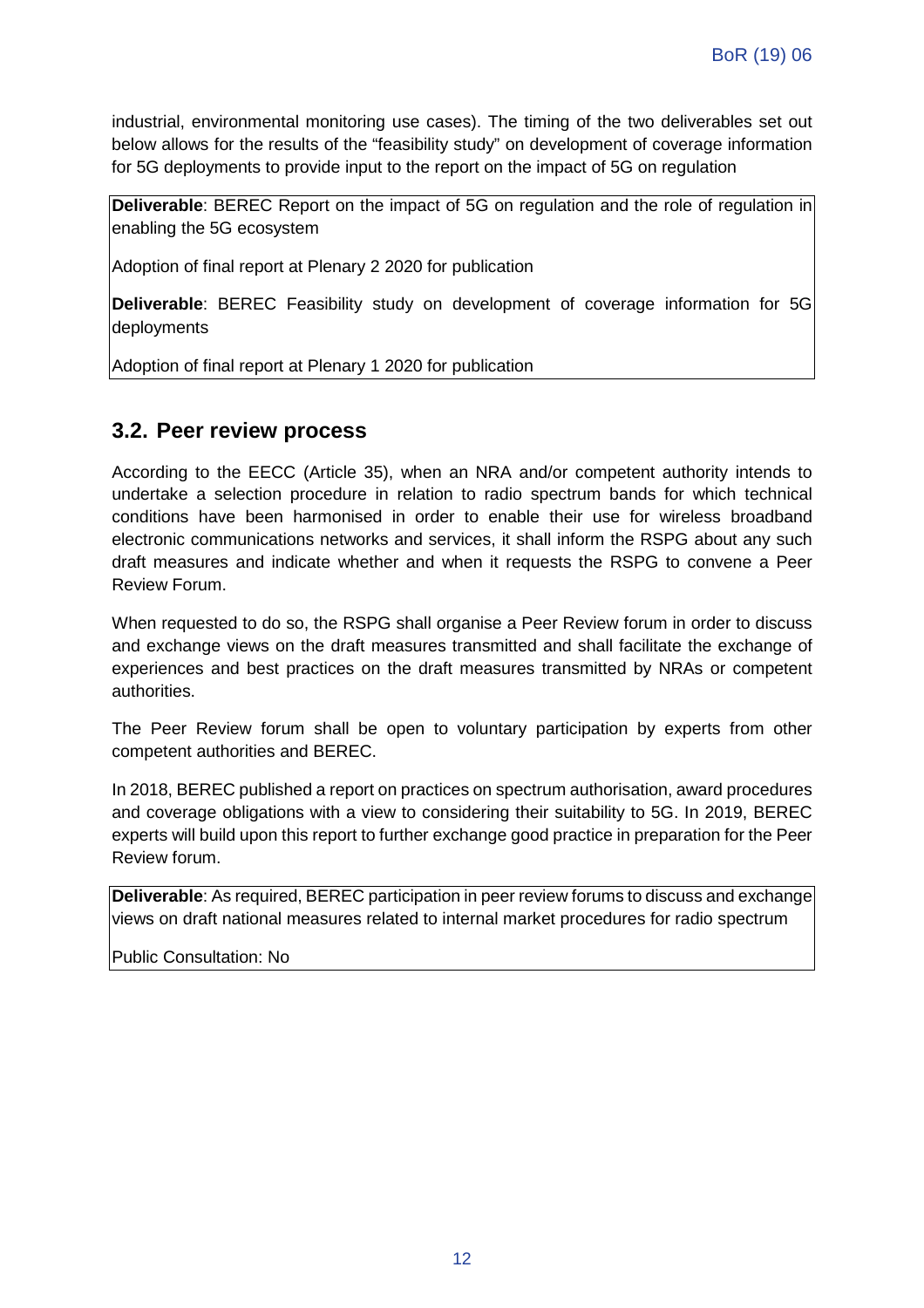industrial, environmental monitoring use cases). The timing of the two deliverables set out below allows for the results of the "feasibility study" on development of coverage information for 5G deployments to provide input to the report on the impact of 5G on regulation

**Deliverable**: BEREC Report on the impact of 5G on regulation and the role of regulation in enabling the 5G ecosystem

Adoption of final report at Plenary 2 2020 for publication

**Deliverable**: BEREC Feasibility study on development of coverage information for 5G deployments

Adoption of final report at Plenary 1 2020 for publication

#### **3.2. Peer review process**

According to the EECC (Article 35), when an NRA and/or competent authority intends to undertake a selection procedure in relation to radio spectrum bands for which technical conditions have been harmonised in order to enable their use for wireless broadband electronic communications networks and services, it shall inform the RSPG about any such draft measures and indicate whether and when it requests the RSPG to convene a Peer Review Forum.

When requested to do so, the RSPG shall organise a Peer Review forum in order to discuss and exchange views on the draft measures transmitted and shall facilitate the exchange of experiences and best practices on the draft measures transmitted by NRAs or competent authorities.

The Peer Review forum shall be open to voluntary participation by experts from other competent authorities and BEREC.

In 2018, BEREC published a report on practices on spectrum authorisation, award procedures and coverage obligations with a view to considering their suitability to 5G. In 2019, BEREC experts will build upon this report to further exchange good practice in preparation for the Peer Review forum.

**Deliverable**: As required, BEREC participation in peer review forums to discuss and exchange views on draft national measures related to internal market procedures for radio spectrum

Public Consultation: No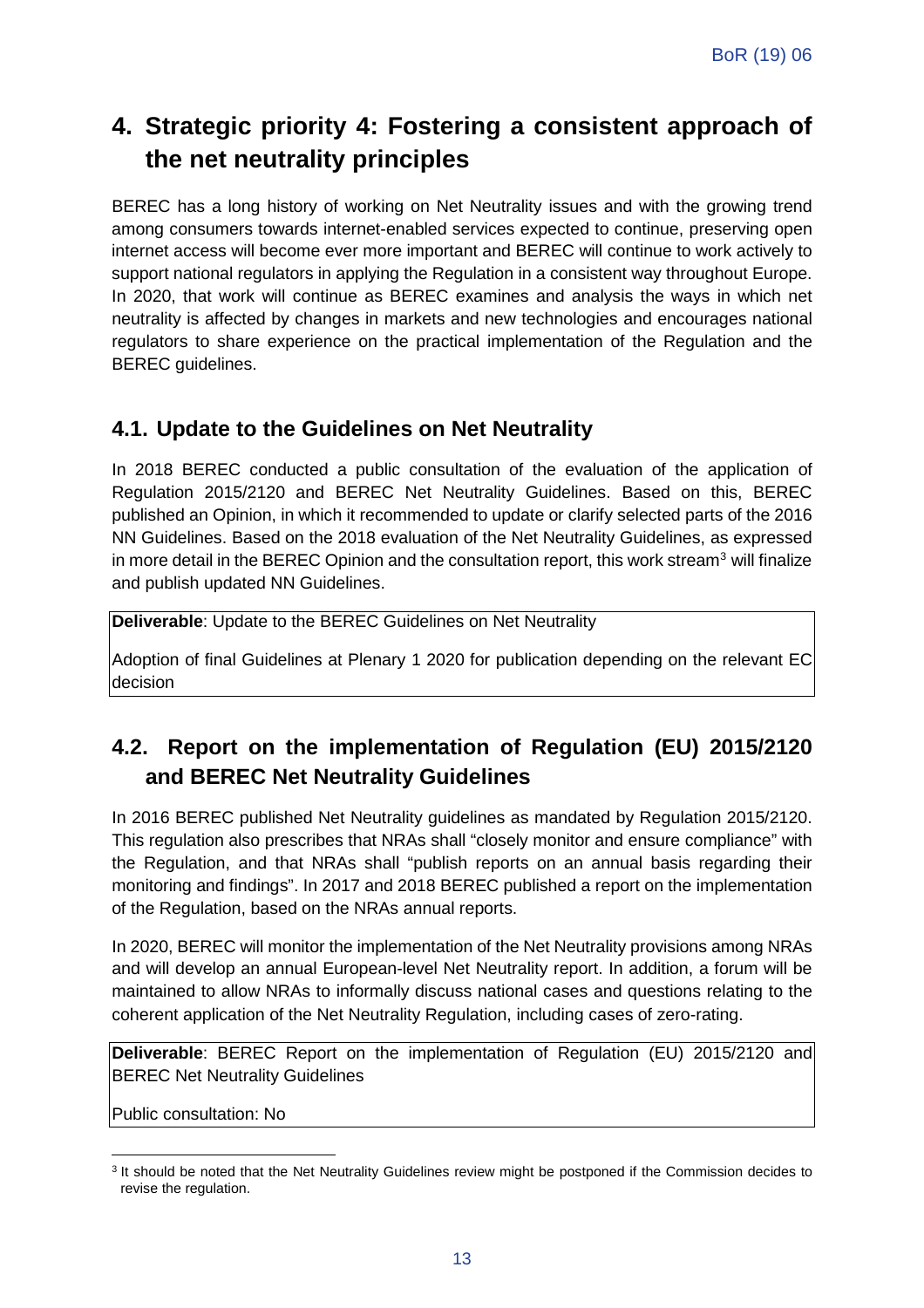### **4. Strategic priority 4: Fostering a consistent approach of the net neutrality principles**

BEREC has a long history of working on Net Neutrality issues and with the growing trend among consumers towards internet-enabled services expected to continue, preserving open internet access will become ever more important and BEREC will continue to work actively to support national regulators in applying the Regulation in a consistent way throughout Europe. In 2020, that work will continue as BEREC examines and analysis the ways in which net neutrality is affected by changes in markets and new technologies and encourages national regulators to share experience on the practical implementation of the Regulation and the BEREC guidelines.

#### **4.1. Update to the Guidelines on Net Neutrality**

In 2018 BEREC conducted a public consultation of the evaluation of the application of Regulation 2015/2120 and BEREC Net Neutrality Guidelines. Based on this, BEREC published an Opinion, in which it recommended to update or clarify selected parts of the 2016 NN Guidelines. Based on the 2018 evaluation of the Net Neutrality Guidelines, as expressed in more detail in the BEREC Opinion and the consultation report, this work stream<sup>[3](#page-13-0)</sup> will finalize and publish updated NN Guidelines.

**Deliverable**: Update to the BEREC Guidelines on Net Neutrality

Adoption of final Guidelines at Plenary 1 2020 for publication depending on the relevant EC decision

### **4.2. Report on the implementation of Regulation (EU) 2015/2120 and BEREC Net Neutrality Guidelines**

In 2016 BEREC published Net Neutrality guidelines as mandated by Regulation 2015/2120. This regulation also prescribes that NRAs shall "closely monitor and ensure compliance" with the Regulation, and that NRAs shall "publish reports on an annual basis regarding their monitoring and findings". In 2017 and 2018 BEREC published a report on the implementation of the Regulation, based on the NRAs annual reports.

In 2020, BEREC will monitor the implementation of the Net Neutrality provisions among NRAs and will develop an annual European-level Net Neutrality report. In addition, a forum will be maintained to allow NRAs to informally discuss national cases and questions relating to the coherent application of the Net Neutrality Regulation, including cases of zero-rating.

**Deliverable**: BEREC Report on the implementation of Regulation (EU) 2015/2120 and BEREC Net Neutrality Guidelines

Public consultation: No

<span id="page-13-0"></span> $\overline{a}$ <sup>3</sup> It should be noted that the Net Neutrality Guidelines review might be postponed if the Commission decides to revise the regulation.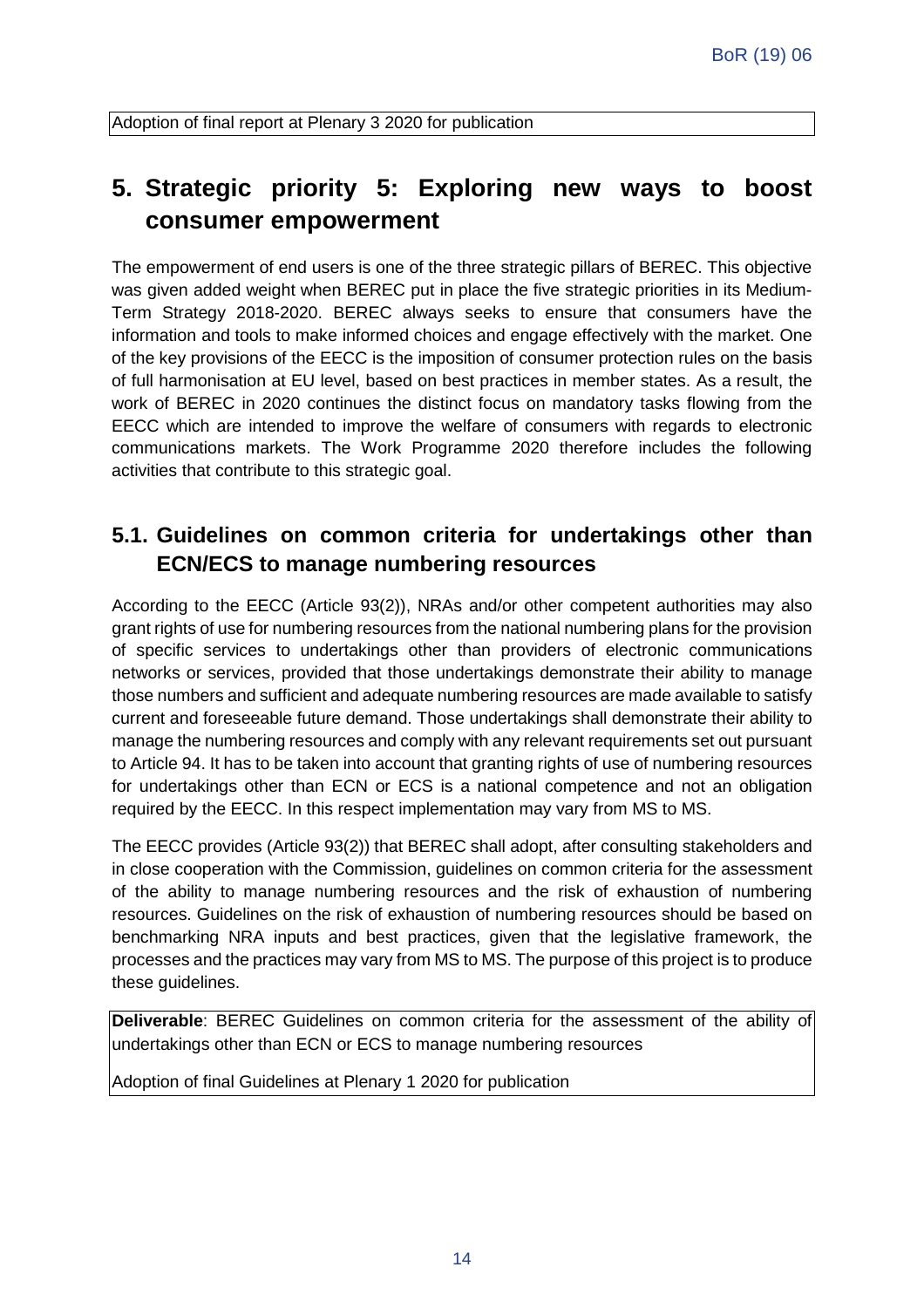Adoption of final report at Plenary 3 2020 for publication

### **5. Strategic priority 5: Exploring new ways to boost consumer empowerment**

The empowerment of end users is one of the three strategic pillars of BEREC. This objective was given added weight when BEREC put in place the five strategic priorities in its Medium-Term Strategy 2018-2020. BEREC always seeks to ensure that consumers have the information and tools to make informed choices and engage effectively with the market. One of the key provisions of the EECC is the imposition of consumer protection rules on the basis of full harmonisation at EU level, based on best practices in member states. As a result, the work of BEREC in 2020 continues the distinct focus on mandatory tasks flowing from the EECC which are intended to improve the welfare of consumers with regards to electronic communications markets. The Work Programme 2020 therefore includes the following activities that contribute to this strategic goal.

#### **5.1. Guidelines on common criteria for undertakings other than ECN/ECS to manage numbering resources**

According to the EECC (Article 93(2)), NRAs and/or other competent authorities may also grant rights of use for numbering resources from the national numbering plans for the provision of specific services to undertakings other than providers of electronic communications networks or services, provided that those undertakings demonstrate their ability to manage those numbers and sufficient and adequate numbering resources are made available to satisfy current and foreseeable future demand. Those undertakings shall demonstrate their ability to manage the numbering resources and comply with any relevant requirements set out pursuant to Article 94. It has to be taken into account that granting rights of use of numbering resources for undertakings other than ECN or ECS is a national competence and not an obligation required by the EECC. In this respect implementation may vary from MS to MS.

The EECC provides (Article 93(2)) that BEREC shall adopt, after consulting stakeholders and in close cooperation with the Commission, guidelines on common criteria for the assessment of the ability to manage numbering resources and the risk of exhaustion of numbering resources. Guidelines on the risk of exhaustion of numbering resources should be based on benchmarking NRA inputs and best practices, given that the legislative framework, the processes and the practices may vary from MS to MS. The purpose of this project is to produce these guidelines.

**Deliverable**: BEREC Guidelines on common criteria for the assessment of the ability of undertakings other than ECN or ECS to manage numbering resources

Adoption of final Guidelines at Plenary 1 2020 for publication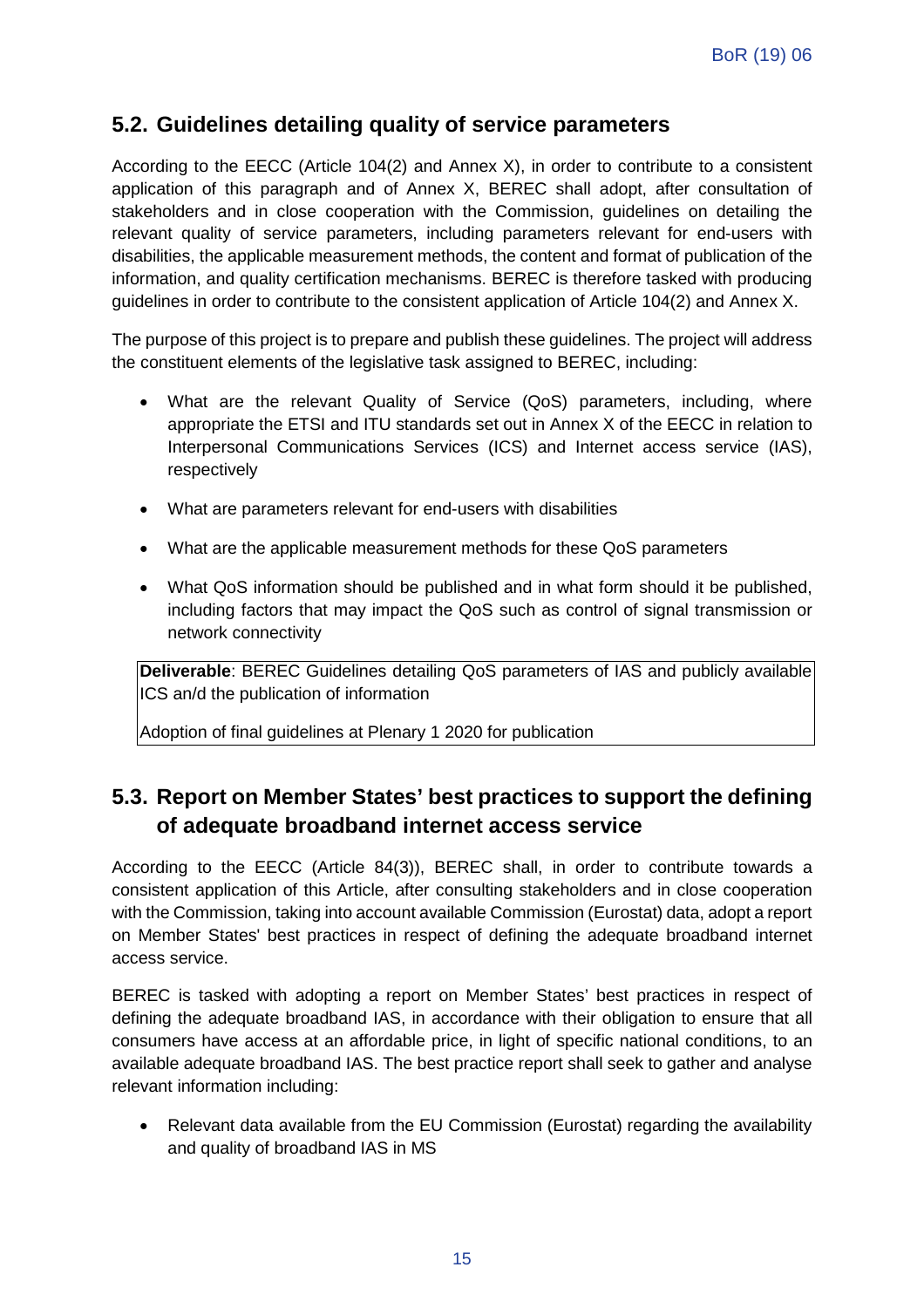#### **5.2. Guidelines detailing quality of service parameters**

According to the EECC (Article 104(2) and Annex X), in order to contribute to a consistent application of this paragraph and of Annex X, BEREC shall adopt, after consultation of stakeholders and in close cooperation with the Commission, guidelines on detailing the relevant quality of service parameters, including parameters relevant for end-users with disabilities, the applicable measurement methods, the content and format of publication of the information, and quality certification mechanisms. BEREC is therefore tasked with producing guidelines in order to contribute to the consistent application of Article 104(2) and Annex X.

The purpose of this project is to prepare and publish these guidelines. The project will address the constituent elements of the legislative task assigned to BEREC, including:

- What are the relevant Quality of Service (QoS) parameters, including, where appropriate the ETSI and ITU standards set out in Annex X of the EECC in relation to Interpersonal Communications Services (ICS) and Internet access service (IAS), respectively
- What are parameters relevant for end-users with disabilities
- What are the applicable measurement methods for these QoS parameters
- What QoS information should be published and in what form should it be published, including factors that may impact the QoS such as control of signal transmission or network connectivity

**Deliverable**: BEREC Guidelines detailing QoS parameters of IAS and publicly available ICS an/d the publication of information

Adoption of final guidelines at Plenary 1 2020 for publication

#### **5.3. Report on Member States' best practices to support the defining of adequate broadband internet access service**

According to the EECC (Article 84(3)), BEREC shall, in order to contribute towards a consistent application of this Article, after consulting stakeholders and in close cooperation with the Commission, taking into account available Commission (Eurostat) data, adopt a report on Member States' best practices in respect of defining the adequate broadband internet access service.

BEREC is tasked with adopting a report on Member States' best practices in respect of defining the adequate broadband IAS, in accordance with their obligation to ensure that all consumers have access at an affordable price, in light of specific national conditions, to an available adequate broadband IAS. The best practice report shall seek to gather and analyse relevant information including:

• Relevant data available from the EU Commission (Eurostat) regarding the availability and quality of broadband IAS in MS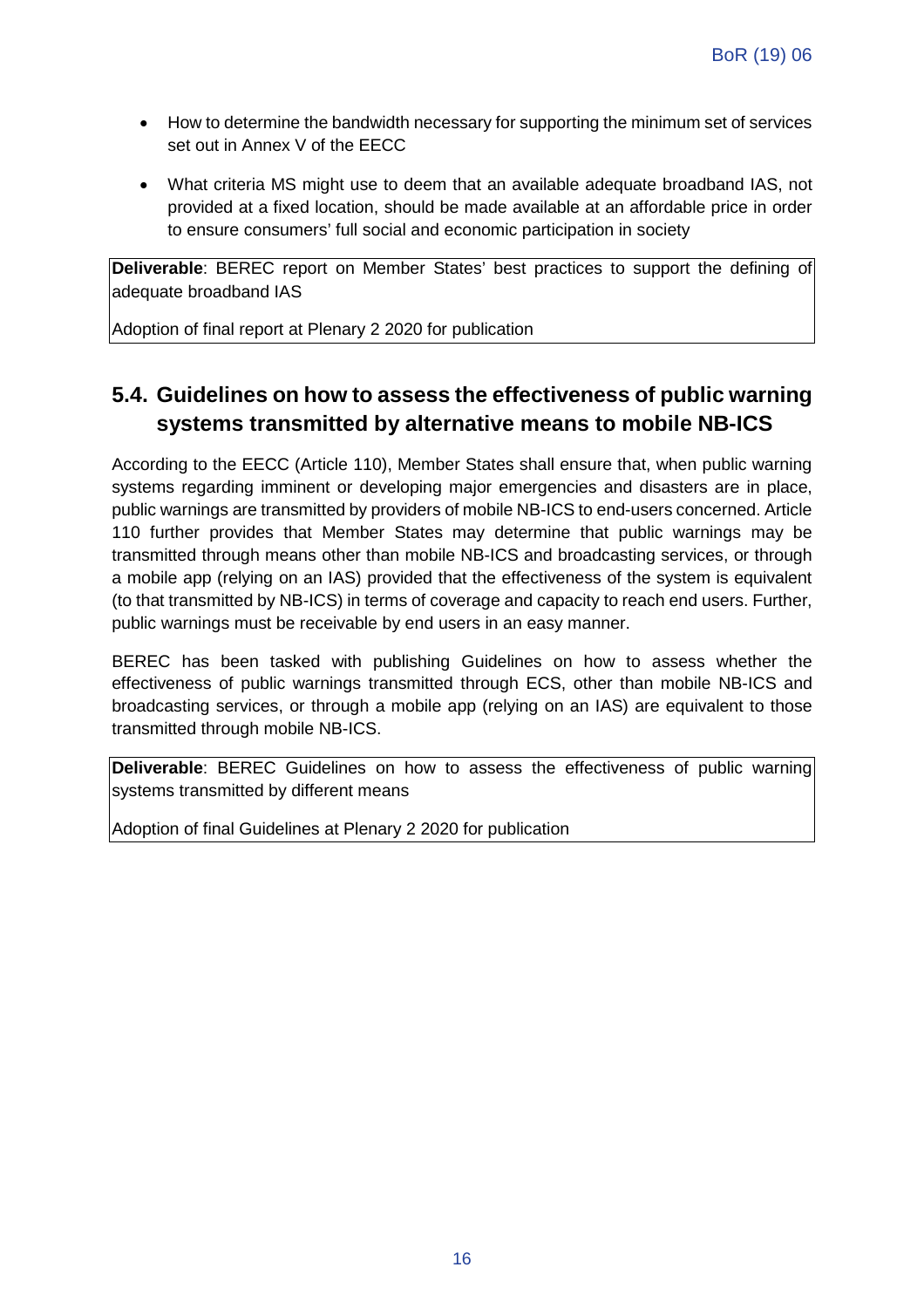- How to determine the bandwidth necessary for supporting the minimum set of services set out in Annex V of the EECC
- What criteria MS might use to deem that an available adequate broadband IAS, not provided at a fixed location, should be made available at an affordable price in order to ensure consumers' full social and economic participation in society

**Deliverable**: BEREC report on Member States' best practices to support the defining of adequate broadband IAS

Adoption of final report at Plenary 2 2020 for publication

#### **5.4. Guidelines on how to assess the effectiveness of public warning systems transmitted by alternative means to mobile NB-ICS**

According to the EECC (Article 110), Member States shall ensure that, when public warning systems regarding imminent or developing major emergencies and disasters are in place, public warnings are transmitted by providers of mobile NB-ICS to end-users concerned. Article 110 further provides that Member States may determine that public warnings may be transmitted through means other than mobile NB-ICS and broadcasting services, or through a mobile app (relying on an IAS) provided that the effectiveness of the system is equivalent (to that transmitted by NB-ICS) in terms of coverage and capacity to reach end users. Further, public warnings must be receivable by end users in an easy manner.

BEREC has been tasked with publishing Guidelines on how to assess whether the effectiveness of public warnings transmitted through ECS, other than mobile NB-ICS and broadcasting services, or through a mobile app (relying on an IAS) are equivalent to those transmitted through mobile NB-ICS.

**Deliverable**: BEREC Guidelines on how to assess the effectiveness of public warning systems transmitted by different means

Adoption of final Guidelines at Plenary 2 2020 for publication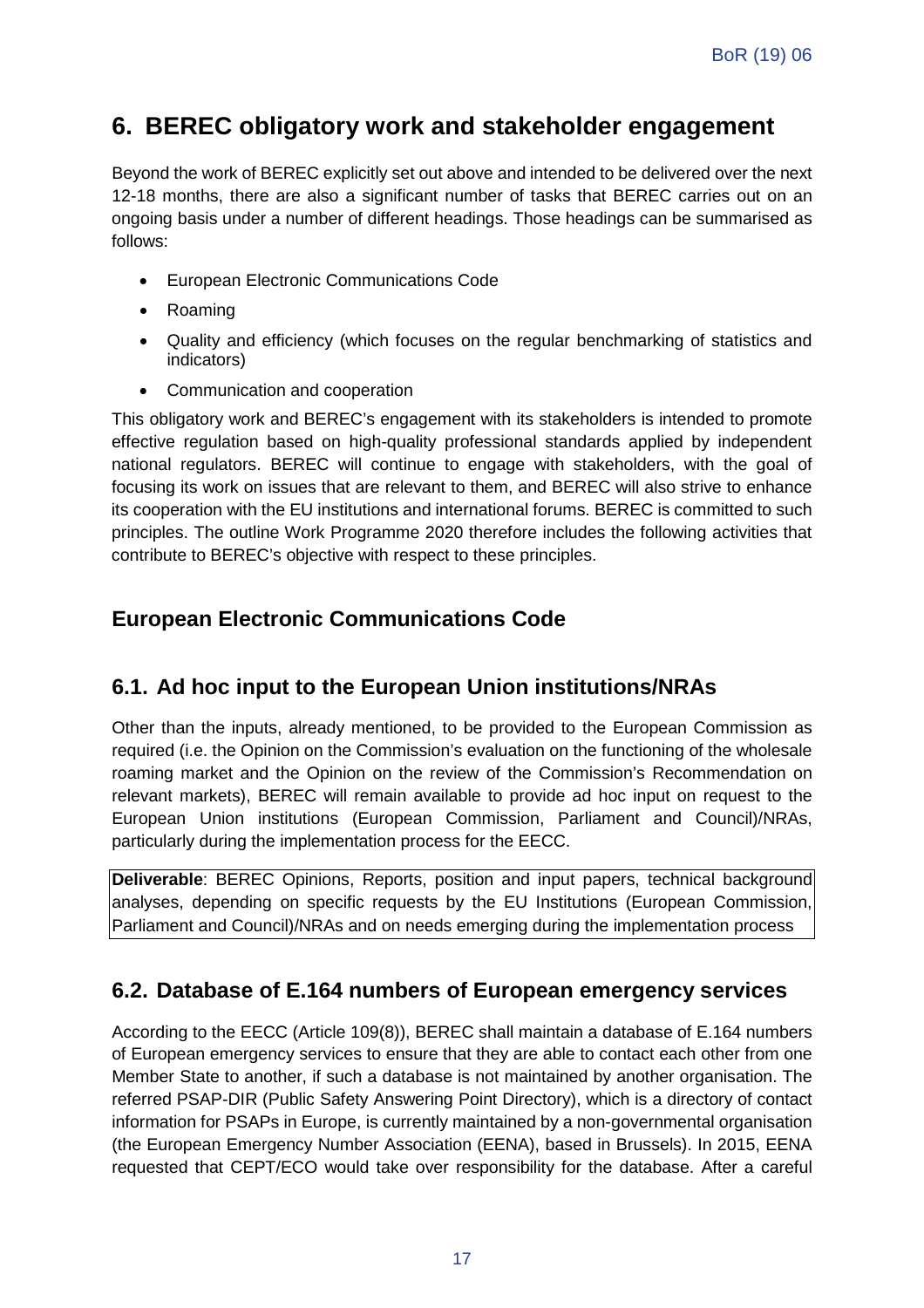### **6. BEREC obligatory work and stakeholder engagement**

Beyond the work of BEREC explicitly set out above and intended to be delivered over the next 12-18 months, there are also a significant number of tasks that BEREC carries out on an ongoing basis under a number of different headings. Those headings can be summarised as follows:

- European Electronic Communications Code
- Roaming
- Quality and efficiency (which focuses on the regular benchmarking of statistics and indicators)
- Communication and cooperation

This obligatory work and BEREC's engagement with its stakeholders is intended to promote effective regulation based on high-quality professional standards applied by independent national regulators. BEREC will continue to engage with stakeholders, with the goal of focusing its work on issues that are relevant to them, and BEREC will also strive to enhance its cooperation with the EU institutions and international forums. BEREC is committed to such principles. The outline Work Programme 2020 therefore includes the following activities that contribute to BEREC's objective with respect to these principles.

#### **European Electronic Communications Code**

#### **6.1. Ad hoc input to the European Union institutions/NRAs**

Other than the inputs, already mentioned, to be provided to the European Commission as required (i.e. the Opinion on the Commission's evaluation on the functioning of the wholesale roaming market and the Opinion on the review of the Commission's Recommendation on relevant markets), BEREC will remain available to provide ad hoc input on request to the European Union institutions (European Commission, Parliament and Council)/NRAs, particularly during the implementation process for the EECC.

**Deliverable**: BEREC Opinions, Reports, position and input papers, technical background analyses, depending on specific requests by the EU Institutions (European Commission, Parliament and Council)/NRAs and on needs emerging during the implementation process

#### **6.2. Database of E.164 numbers of European emergency services**

According to the EECC (Article 109(8)), BEREC shall maintain a database of E.164 numbers of European emergency services to ensure that they are able to contact each other from one Member State to another, if such a database is not maintained by another organisation. The referred PSAP-DIR (Public Safety Answering Point Directory), which is a directory of contact information for PSAPs in Europe, is currently maintained by a non-governmental organisation (the European Emergency Number Association (EENA), based in Brussels). In 2015, EENA requested that CEPT/ECO would take over responsibility for the database. After a careful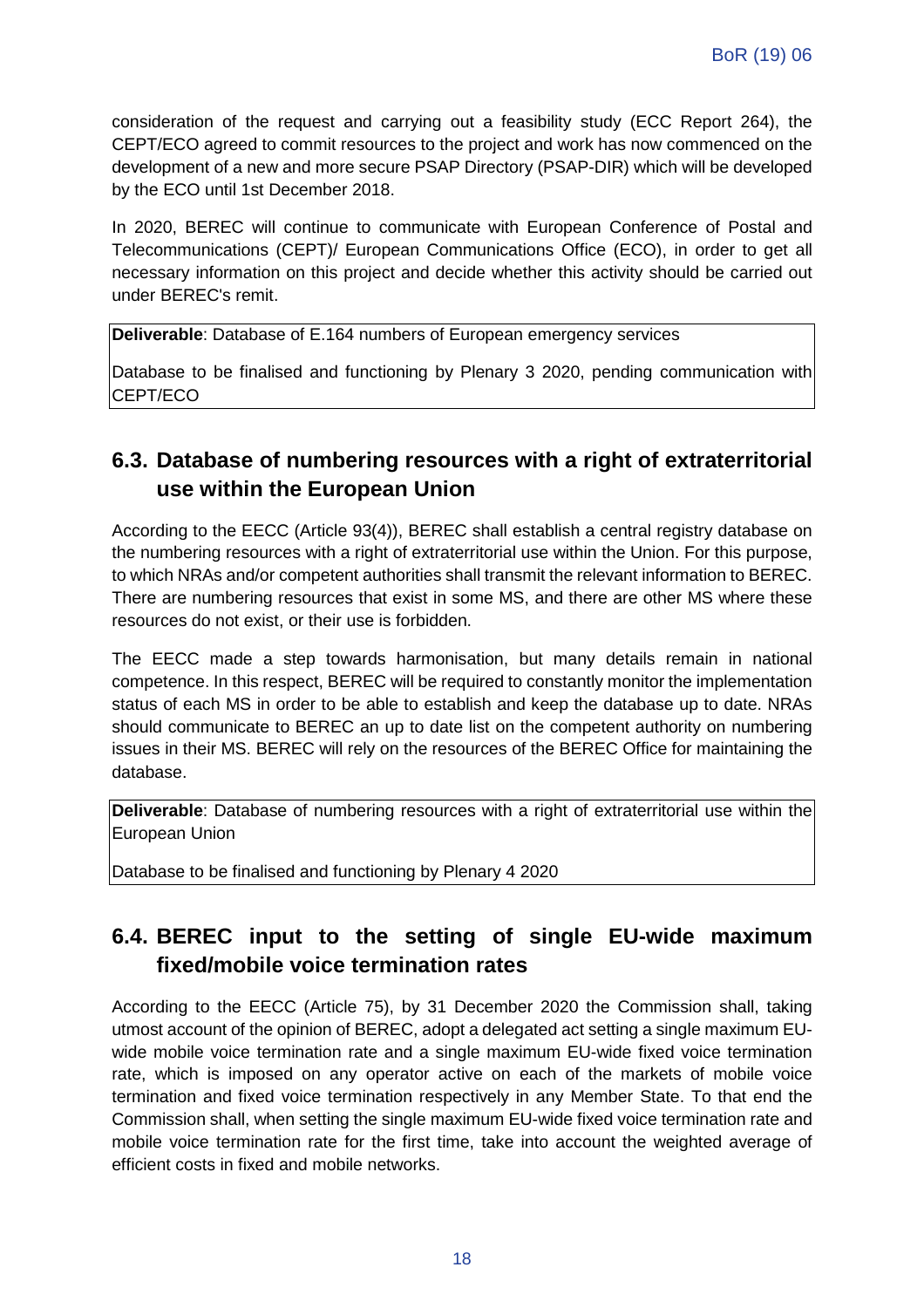consideration of the request and carrying out a feasibility study (ECC Report 264), the CEPT/ECO agreed to commit resources to the project and work has now commenced on the development of a new and more secure PSAP Directory (PSAP-DIR) which will be developed by the ECO until 1st December 2018.

In 2020, BEREC will continue to communicate with European Conference of Postal and Telecommunications (CEPT)/ European Communications Office (ECO), in order to get all necessary information on this project and decide whether this activity should be carried out under BEREC's remit.

**Deliverable**: Database of E.164 numbers of European emergency services

Database to be finalised and functioning by Plenary 3 2020, pending communication with CEPT/ECO

#### **6.3. Database of numbering resources with a right of extraterritorial use within the European Union**

According to the EECC (Article 93(4)), BEREC shall establish a central registry database on the numbering resources with a right of extraterritorial use within the Union. For this purpose, to which NRAs and/or competent authorities shall transmit the relevant information to BEREC. There are numbering resources that exist in some MS, and there are other MS where these resources do not exist, or their use is forbidden.

The EECC made a step towards harmonisation, but many details remain in national competence. In this respect, BEREC will be required to constantly monitor the implementation status of each MS in order to be able to establish and keep the database up to date. NRAs should communicate to BEREC an up to date list on the competent authority on numbering issues in their MS. BEREC will rely on the resources of the BEREC Office for maintaining the database.

**Deliverable**: Database of numbering resources with a right of extraterritorial use within the European Union

Database to be finalised and functioning by Plenary 4 2020

### **6.4. BEREC input to the setting of single EU-wide maximum fixed/mobile voice termination rates**

According to the EECC (Article 75), by 31 December 2020 the Commission shall, taking utmost account of the opinion of BEREC, adopt a delegated act setting a single maximum EUwide mobile voice termination rate and a single maximum EU-wide fixed voice termination rate, which is imposed on any operator active on each of the markets of mobile voice termination and fixed voice termination respectively in any Member State. To that end the Commission shall, when setting the single maximum EU-wide fixed voice termination rate and mobile voice termination rate for the first time, take into account the weighted average of efficient costs in fixed and mobile networks.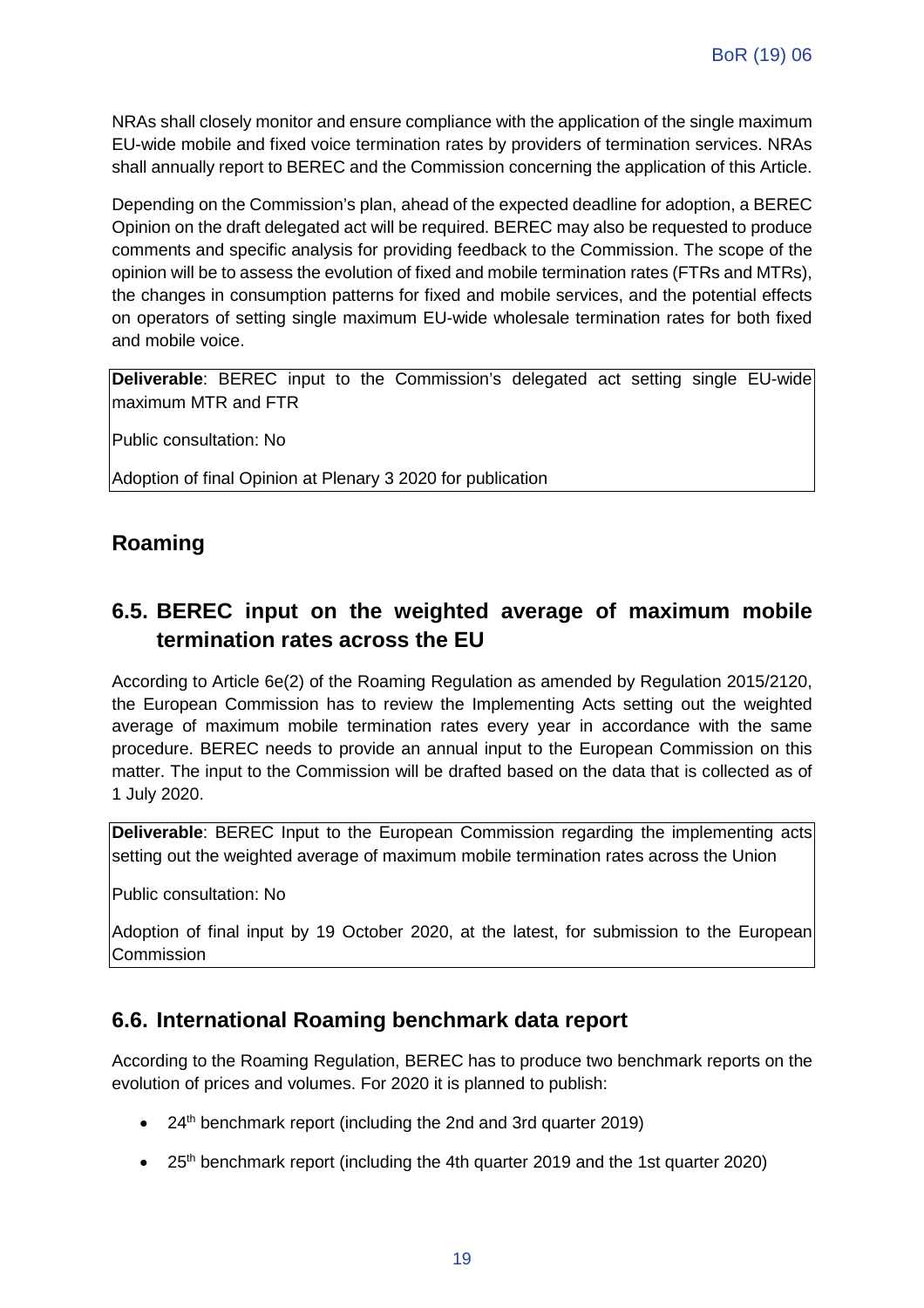NRAs shall closely monitor and ensure compliance with the application of the single maximum EU-wide mobile and fixed voice termination rates by providers of termination services. NRAs shall annually report to BEREC and the Commission concerning the application of this Article.

Depending on the Commission's plan, ahead of the expected deadline for adoption, a BEREC Opinion on the draft delegated act will be required. BEREC may also be requested to produce comments and specific analysis for providing feedback to the Commission. The scope of the opinion will be to assess the evolution of fixed and mobile termination rates (FTRs and MTRs), the changes in consumption patterns for fixed and mobile services, and the potential effects on operators of setting single maximum EU-wide wholesale termination rates for both fixed and mobile voice.

**Deliverable**: BEREC input to the Commission's delegated act setting single EU-wide maximum MTR and FTR

Public consultation: No

Adoption of final Opinion at Plenary 3 2020 for publication

#### **Roaming**

#### **6.5. BEREC input on the weighted average of maximum mobile termination rates across the EU**

According to Article 6e(2) of the Roaming Regulation as amended by Regulation 2015/2120, the European Commission has to review the Implementing Acts setting out the weighted average of maximum mobile termination rates every year in accordance with the same procedure. BEREC needs to provide an annual input to the European Commission on this matter. The input to the Commission will be drafted based on the data that is collected as of 1 July 2020.

**Deliverable**: BEREC Input to the European Commission regarding the implementing acts setting out the weighted average of maximum mobile termination rates across the Union

Public consultation: No

Adoption of final input by 19 October 2020, at the latest, for submission to the European Commission

#### **6.6. International Roaming benchmark data report**

According to the Roaming Regulation, BEREC has to produce two benchmark reports on the evolution of prices and volumes. For 2020 it is planned to publish:

- $\bullet$  24<sup>th</sup> benchmark report (including the 2nd and 3rd quarter 2019)
- 25<sup>th</sup> benchmark report (including the 4th quarter 2019 and the 1st quarter 2020)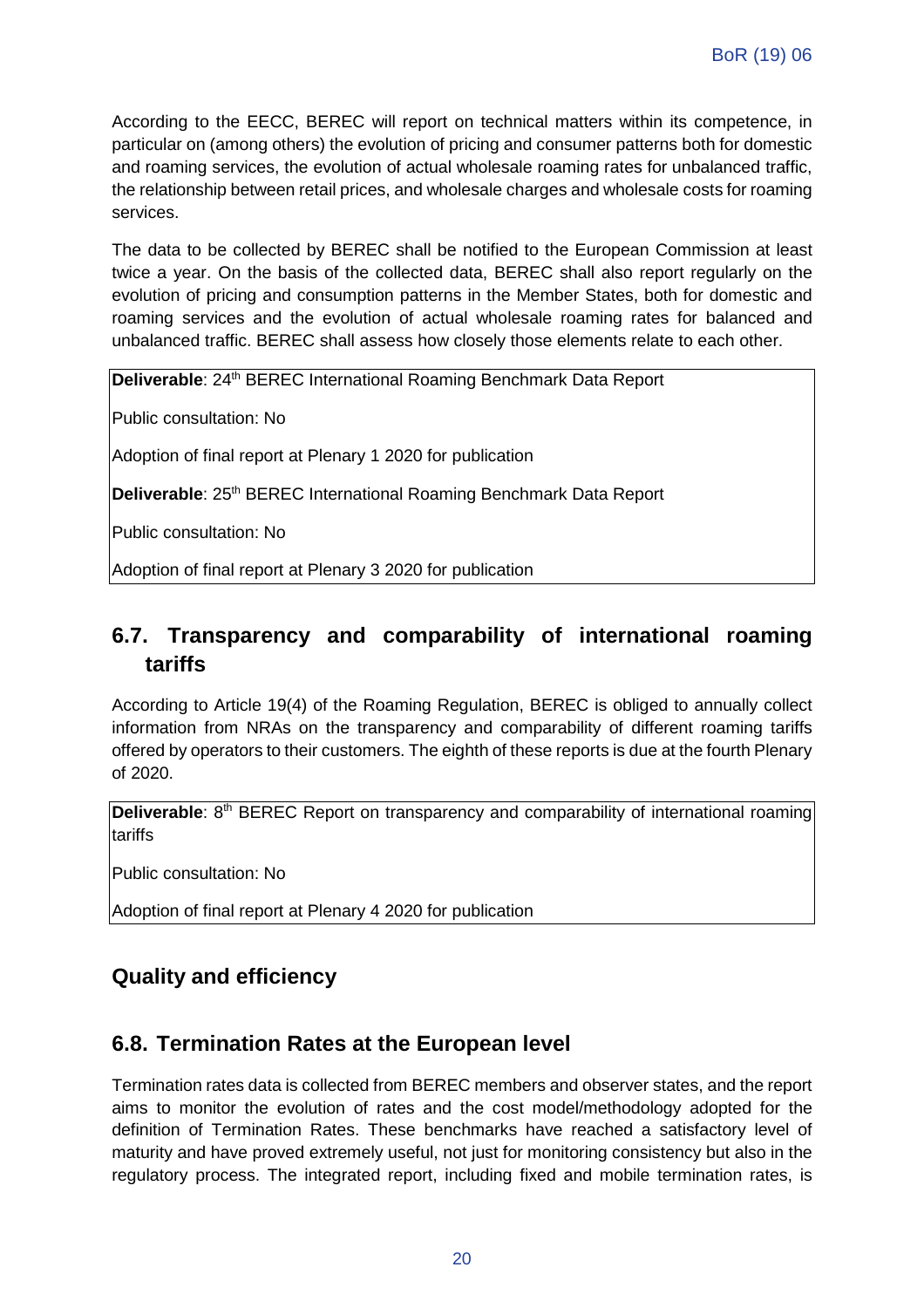According to the EECC, BEREC will report on technical matters within its competence, in particular on (among others) the evolution of pricing and consumer patterns both for domestic and roaming services, the evolution of actual wholesale roaming rates for unbalanced traffic, the relationship between retail prices, and wholesale charges and wholesale costs for roaming services.

The data to be collected by BEREC shall be notified to the European Commission at least twice a year. On the basis of the collected data, BEREC shall also report regularly on the evolution of pricing and consumption patterns in the Member States, both for domestic and roaming services and the evolution of actual wholesale roaming rates for balanced and unbalanced traffic. BEREC shall assess how closely those elements relate to each other.

**Deliverable**: 24<sup>th</sup> BEREC International Roaming Benchmark Data Report

Public consultation: No

Adoption of final report at Plenary 1 2020 for publication

**Deliverable: 25<sup>th</sup> BEREC International Roaming Benchmark Data Report** 

Public consultation: No

Adoption of final report at Plenary 3 2020 for publication

#### **6.7. Transparency and comparability of international roaming tariffs**

According to Article 19(4) of the Roaming Regulation, BEREC is obliged to annually collect information from NRAs on the transparency and comparability of different roaming tariffs offered by operators to their customers. The eighth of these reports is due at the fourth Plenary of 2020.

**Deliverable**: 8<sup>th</sup> BEREC Report on transparency and comparability of international roaming tariffs

Public consultation: No

Adoption of final report at Plenary 4 2020 for publication

#### **Quality and efficiency**

#### **6.8. Termination Rates at the European level**

Termination rates data is collected from BEREC members and observer states, and the report aims to monitor the evolution of rates and the cost model/methodology adopted for the definition of Termination Rates. These benchmarks have reached a satisfactory level of maturity and have proved extremely useful, not just for monitoring consistency but also in the regulatory process. The integrated report, including fixed and mobile termination rates, is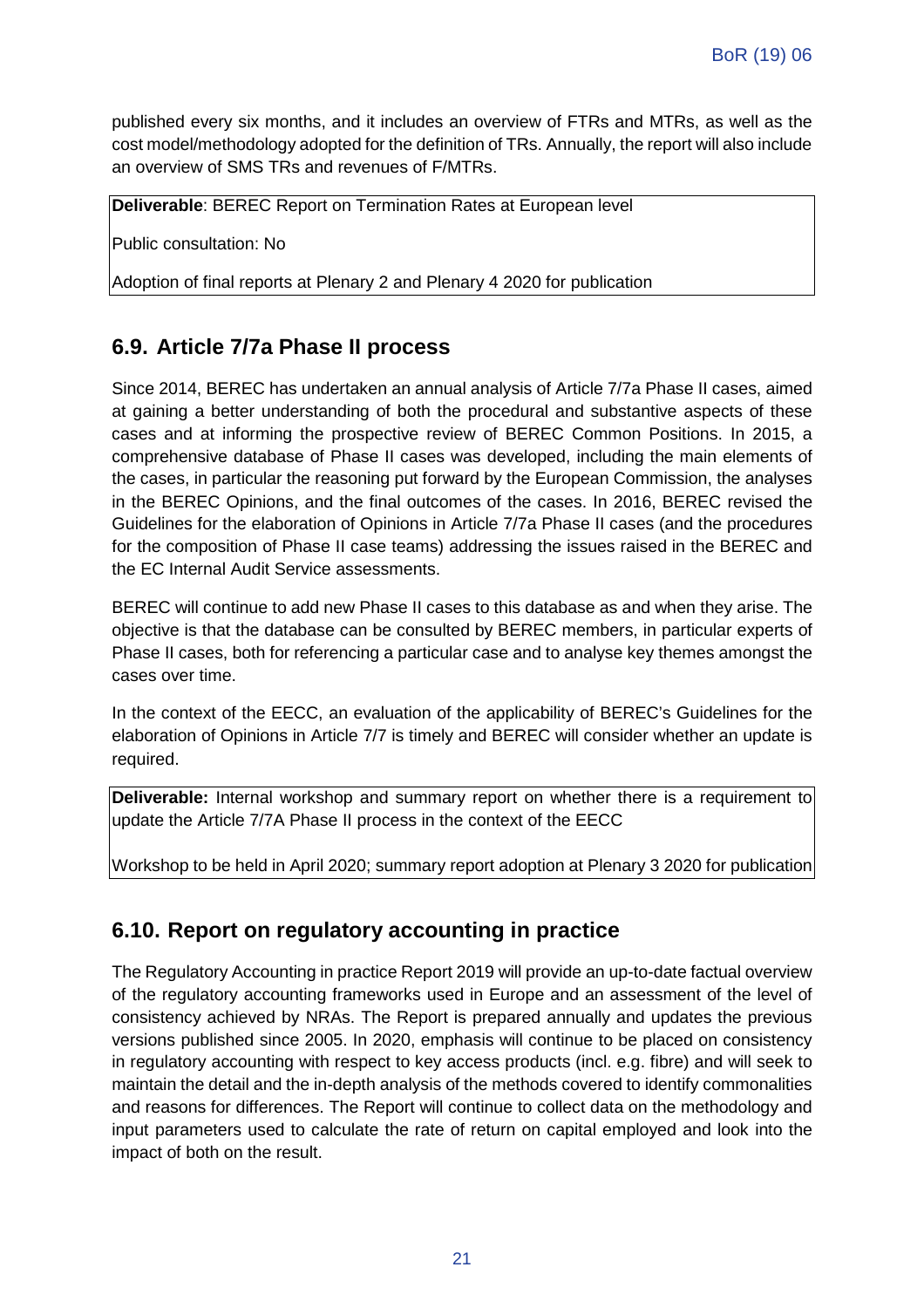published every six months, and it includes an overview of FTRs and MTRs, as well as the cost model/methodology adopted for the definition of TRs. Annually, the report will also include an overview of SMS TRs and revenues of F/MTRs.

**Deliverable**: BEREC Report on Termination Rates at European level

Public consultation: No

Adoption of final reports at Plenary 2 and Plenary 4 2020 for publication

#### **6.9. Article 7/7a Phase II process**

Since 2014, BEREC has undertaken an annual analysis of Article 7/7a Phase II cases, aimed at gaining a better understanding of both the procedural and substantive aspects of these cases and at informing the prospective review of BEREC Common Positions. In 2015, a comprehensive database of Phase II cases was developed, including the main elements of the cases, in particular the reasoning put forward by the European Commission, the analyses in the BEREC Opinions, and the final outcomes of the cases. In 2016, BEREC revised the Guidelines for the elaboration of Opinions in Article 7/7a Phase II cases (and the procedures for the composition of Phase II case teams) addressing the issues raised in the BEREC and the EC Internal Audit Service assessments.

BEREC will continue to add new Phase II cases to this database as and when they arise. The objective is that the database can be consulted by BEREC members, in particular experts of Phase II cases, both for referencing a particular case and to analyse key themes amongst the cases over time.

In the context of the EECC, an evaluation of the applicability of BEREC's Guidelines for the elaboration of Opinions in Article 7/7 is timely and BEREC will consider whether an update is required.

**Deliverable:** Internal workshop and summary report on whether there is a requirement to update the Article 7/7A Phase II process in the context of the EECC

Workshop to be held in April 2020; summary report adoption at Plenary 3 2020 for publication

#### **6.10. Report on regulatory accounting in practice**

The Regulatory Accounting in practice Report 2019 will provide an up-to-date factual overview of the regulatory accounting frameworks used in Europe and an assessment of the level of consistency achieved by NRAs. The Report is prepared annually and updates the previous versions published since 2005. In 2020, emphasis will continue to be placed on consistency in regulatory accounting with respect to key access products (incl. e.g. fibre) and will seek to maintain the detail and the in-depth analysis of the methods covered to identify commonalities and reasons for differences. The Report will continue to collect data on the methodology and input parameters used to calculate the rate of return on capital employed and look into the impact of both on the result.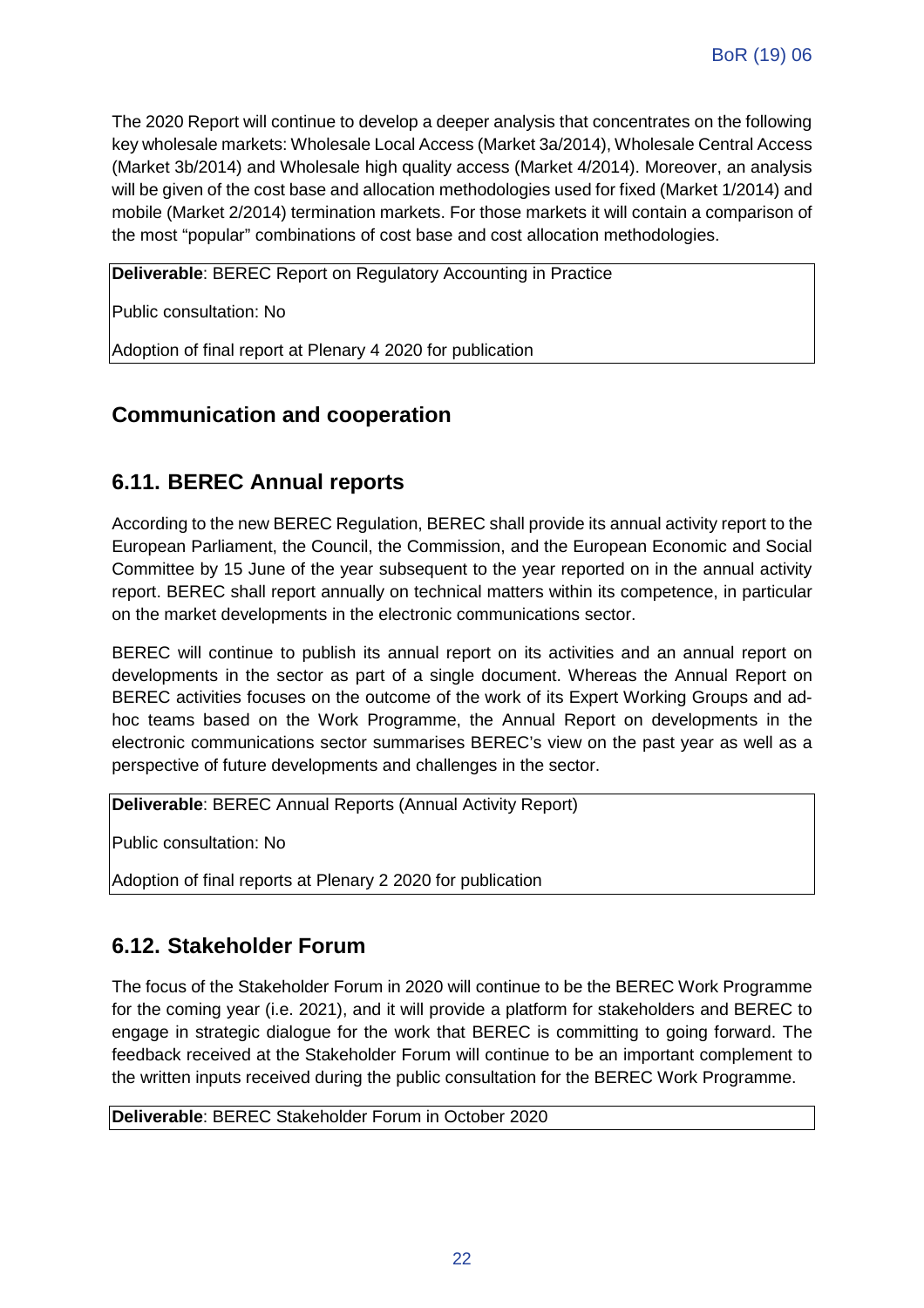The 2020 Report will continue to develop a deeper analysis that concentrates on the following key wholesale markets: Wholesale Local Access (Market 3a/2014), Wholesale Central Access (Market 3b/2014) and Wholesale high quality access (Market 4/2014). Moreover, an analysis will be given of the cost base and allocation methodologies used for fixed (Market 1/2014) and mobile (Market 2/2014) termination markets. For those markets it will contain a comparison of the most "popular" combinations of cost base and cost allocation methodologies.

**Deliverable**: BEREC Report on Regulatory Accounting in Practice

Public consultation: No

Adoption of final report at Plenary 4 2020 for publication

#### **Communication and cooperation**

#### **6.11. BEREC Annual reports**

According to the new BEREC Regulation, BEREC shall provide its annual activity report to the European Parliament, the Council, the Commission, and the European Economic and Social Committee by 15 June of the year subsequent to the year reported on in the annual activity report. BEREC shall report annually on technical matters within its competence, in particular on the market developments in the electronic communications sector.

BEREC will continue to publish its annual report on its activities and an annual report on developments in the sector as part of a single document. Whereas the Annual Report on BEREC activities focuses on the outcome of the work of its Expert Working Groups and adhoc teams based on the Work Programme, the Annual Report on developments in the electronic communications sector summarises BEREC's view on the past year as well as a perspective of future developments and challenges in the sector.

**Deliverable**: BEREC Annual Reports (Annual Activity Report)

Public consultation: No

Adoption of final reports at Plenary 2 2020 for publication

#### **6.12. Stakeholder Forum**

The focus of the Stakeholder Forum in 2020 will continue to be the BEREC Work Programme for the coming year (i.e. 2021), and it will provide a platform for stakeholders and BEREC to engage in strategic dialogue for the work that BEREC is committing to going forward. The feedback received at the Stakeholder Forum will continue to be an important complement to the written inputs received during the public consultation for the BEREC Work Programme.

**Deliverable**: BEREC Stakeholder Forum in October 2020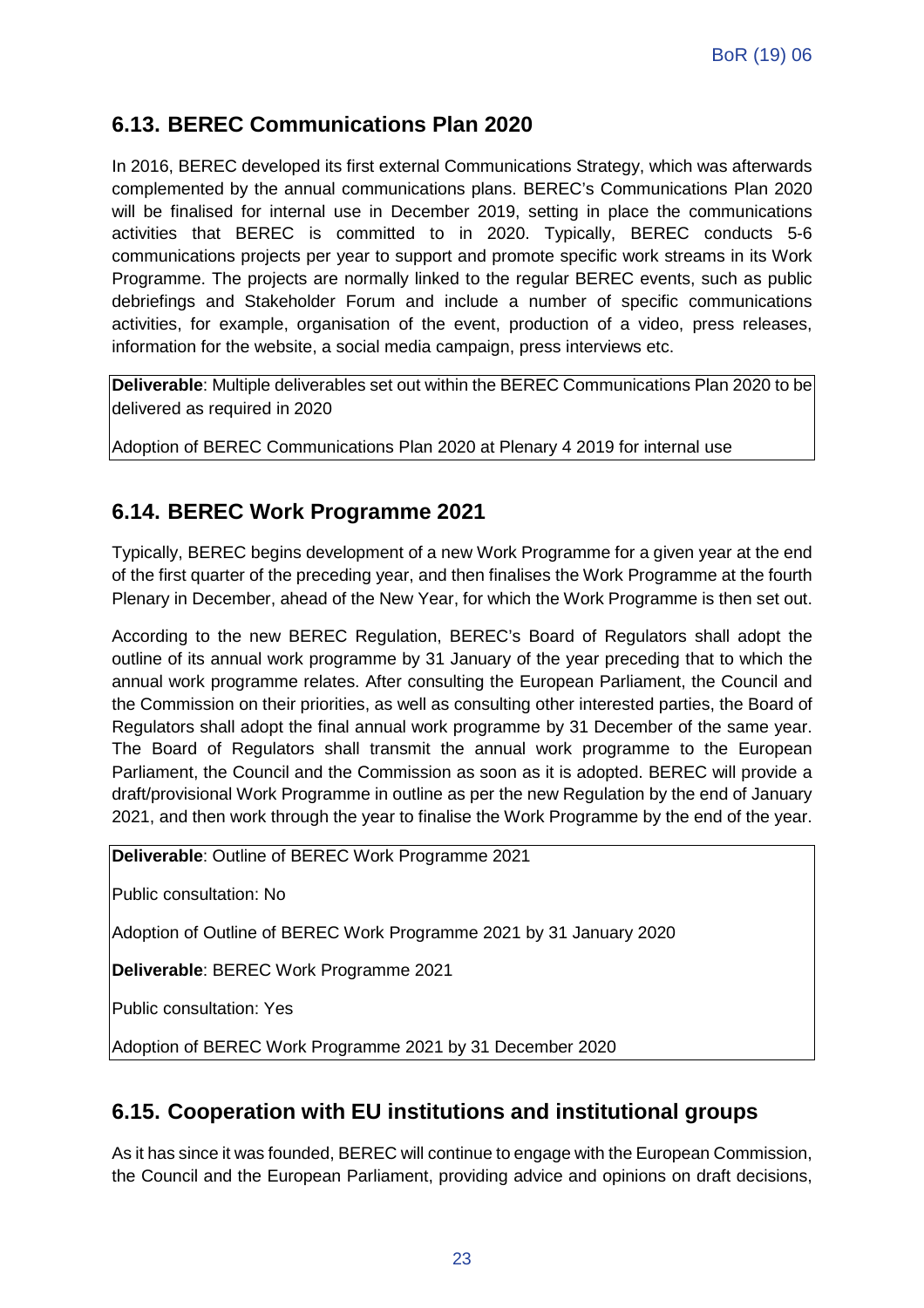#### **6.13. BEREC Communications Plan 2020**

In 2016, BEREC developed its first external Communications Strategy, which was afterwards complemented by the annual communications plans. BEREC's Communications Plan 2020 will be finalised for internal use in December 2019, setting in place the communications activities that BEREC is committed to in 2020. Typically, BEREC conducts 5-6 communications projects per year to support and promote specific work streams in its Work Programme. The projects are normally linked to the regular BEREC events, such as public debriefings and Stakeholder Forum and include a number of specific communications activities, for example, organisation of the event, production of a video, press releases, information for the website, a social media campaign, press interviews etc.

**Deliverable**: Multiple deliverables set out within the BEREC Communications Plan 2020 to be delivered as required in 2020

Adoption of BEREC Communications Plan 2020 at Plenary 4 2019 for internal use

#### **6.14. BEREC Work Programme 2021**

Typically, BEREC begins development of a new Work Programme for a given year at the end of the first quarter of the preceding year, and then finalises the Work Programme at the fourth Plenary in December, ahead of the New Year, for which the Work Programme is then set out.

According to the new BEREC Regulation, BEREC's Board of Regulators shall adopt the outline of its annual work programme by 31 January of the year preceding that to which the annual work programme relates. After consulting the European Parliament, the Council and the Commission on their priorities, as well as consulting other interested parties, the Board of Regulators shall adopt the final annual work programme by 31 December of the same year. The Board of Regulators shall transmit the annual work programme to the European Parliament, the Council and the Commission as soon as it is adopted. BEREC will provide a draft/provisional Work Programme in outline as per the new Regulation by the end of January 2021, and then work through the year to finalise the Work Programme by the end of the year.

**Deliverable**: Outline of BEREC Work Programme 2021

Public consultation: No

Adoption of Outline of BEREC Work Programme 2021 by 31 January 2020

**Deliverable**: BEREC Work Programme 2021

Public consultation: Yes

Adoption of BEREC Work Programme 2021 by 31 December 2020

#### **6.15. Cooperation with EU institutions and institutional groups**

As it has since it was founded, BEREC will continue to engage with the European Commission, the Council and the European Parliament, providing advice and opinions on draft decisions,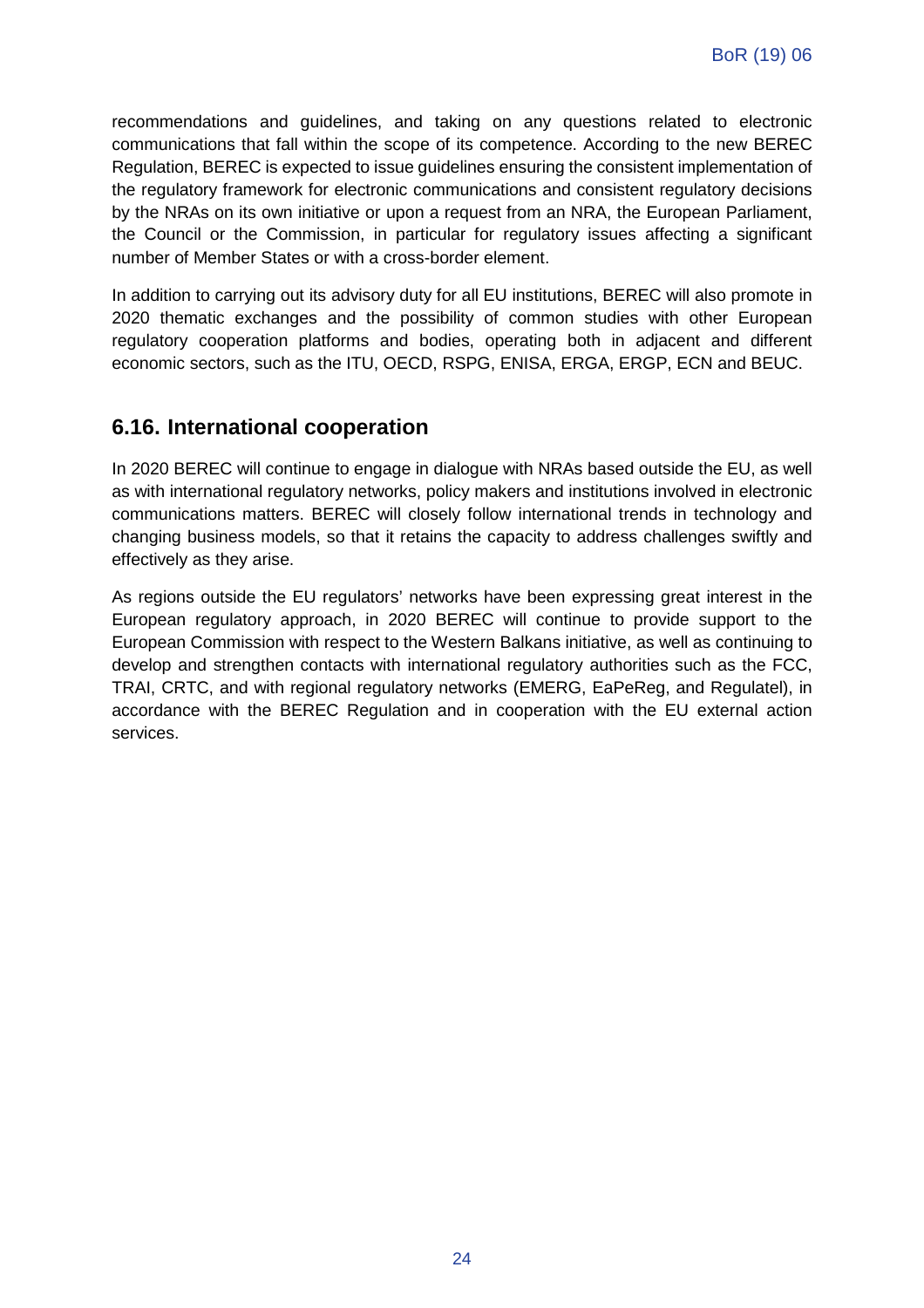recommendations and guidelines, and taking on any questions related to electronic communications that fall within the scope of its competence. According to the new BEREC Regulation, BEREC is expected to issue guidelines ensuring the consistent implementation of the regulatory framework for electronic communications and consistent regulatory decisions by the NRAs on its own initiative or upon a request from an NRA, the European Parliament, the Council or the Commission, in particular for regulatory issues affecting a significant number of Member States or with a cross-border element.

In addition to carrying out its advisory duty for all EU institutions, BEREC will also promote in 2020 thematic exchanges and the possibility of common studies with other European regulatory cooperation platforms and bodies, operating both in adjacent and different economic sectors, such as the ITU, OECD, RSPG, ENISA, ERGA, ERGP, ECN and BEUC.

#### **6.16. International cooperation**

In 2020 BEREC will continue to engage in dialogue with NRAs based outside the EU, as well as with international regulatory networks, policy makers and institutions involved in electronic communications matters. BEREC will closely follow international trends in technology and changing business models, so that it retains the capacity to address challenges swiftly and effectively as they arise.

As regions outside the EU regulators' networks have been expressing great interest in the European regulatory approach, in 2020 BEREC will continue to provide support to the European Commission with respect to the Western Balkans initiative, as well as continuing to develop and strengthen contacts with international regulatory authorities such as the FCC, TRAI, CRTC, and with regional regulatory networks (EMERG, EaPeReg, and Regulatel), in accordance with the BEREC Regulation and in cooperation with the EU external action services.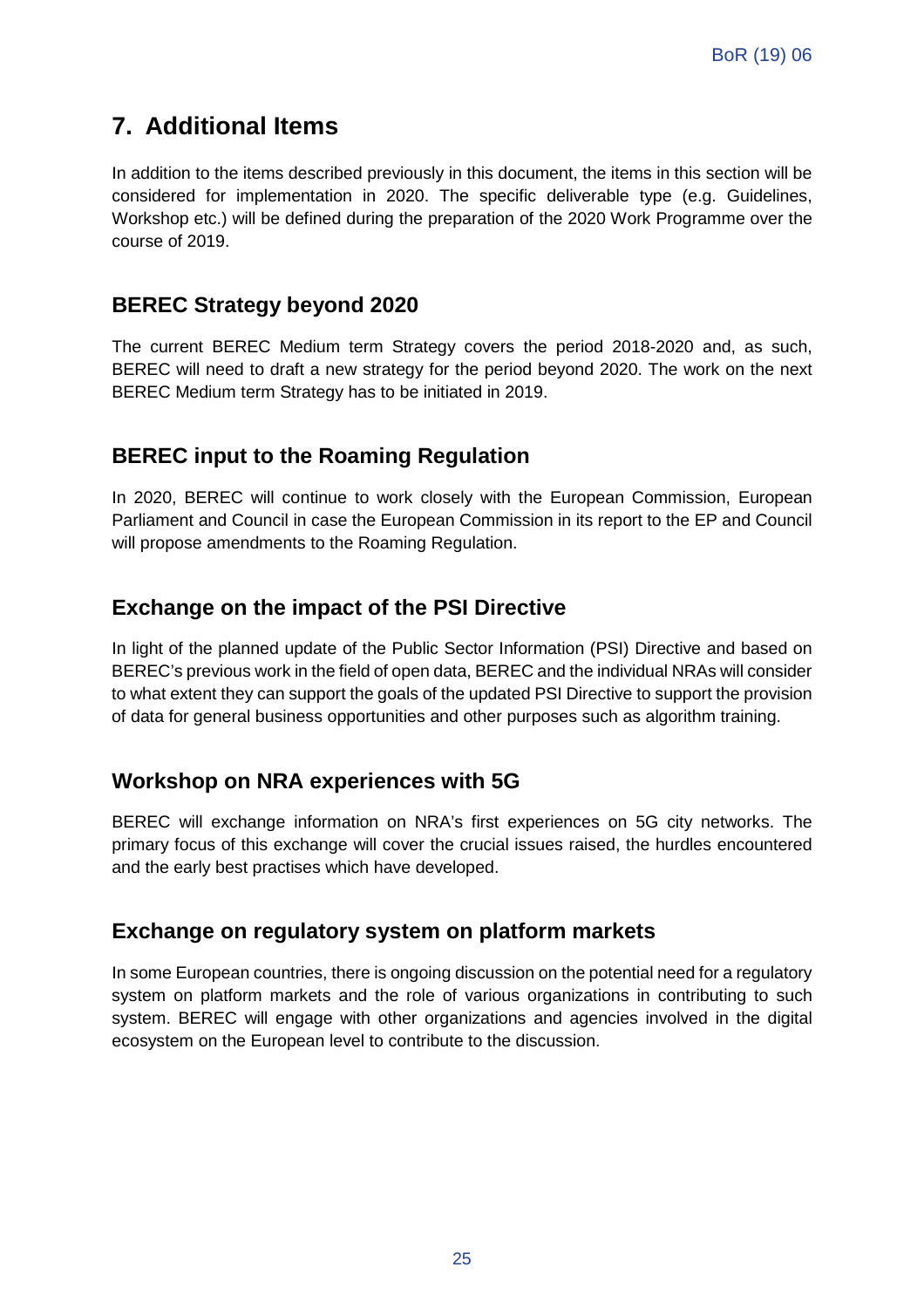### **7. Additional Items**

In addition to the items described previously in this document, the items in this section will be considered for implementation in 2020. The specific deliverable type (e.g. Guidelines, Workshop etc.) will be defined during the preparation of the 2020 Work Programme over the course of 2019.

#### **BEREC Strategy beyond 2020**

The current BEREC Medium term Strategy covers the period 2018-2020 and, as such, BEREC will need to draft a new strategy for the period beyond 2020. The work on the next BEREC Medium term Strategy has to be initiated in 2019.

#### **BEREC input to the Roaming Regulation**

In 2020, BEREC will continue to work closely with the European Commission, European Parliament and Council in case the European Commission in its report to the EP and Council will propose amendments to the Roaming Regulation.

#### **Exchange on the impact of the PSI Directive**

In light of the planned update of the Public Sector Information (PSI) Directive and based on BEREC's previous work in the field of open data, BEREC and the individual NRAs will consider to what extent they can support the goals of the updated PSI Directive to support the provision of data for general business opportunities and other purposes such as algorithm training.

#### **Workshop on NRA experiences with 5G**

BEREC will exchange information on NRA's first experiences on 5G city networks. The primary focus of this exchange will cover the crucial issues raised, the hurdles encountered and the early best practises which have developed.

#### **Exchange on regulatory system on platform markets**

In some European countries, there is ongoing discussion on the potential need for a regulatory system on platform markets and the role of various organizations in contributing to such system. BEREC will engage with other organizations and agencies involved in the digital ecosystem on the European level to contribute to the discussion.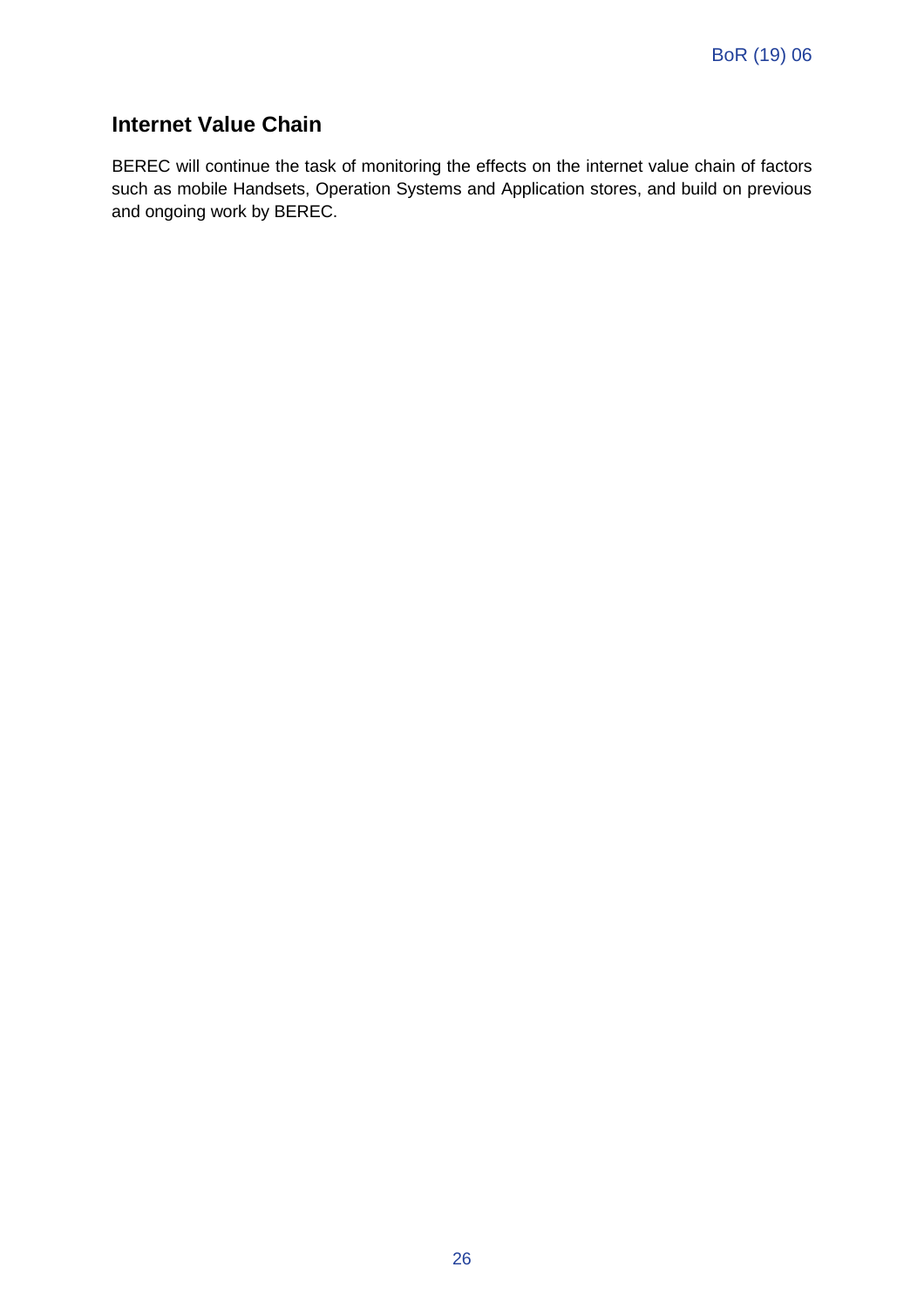#### **Internet Value Chain**

BEREC will continue the task of monitoring the effects on the internet value chain of factors such as mobile Handsets, Operation Systems and Application stores, and build on previous and ongoing work by BEREC.